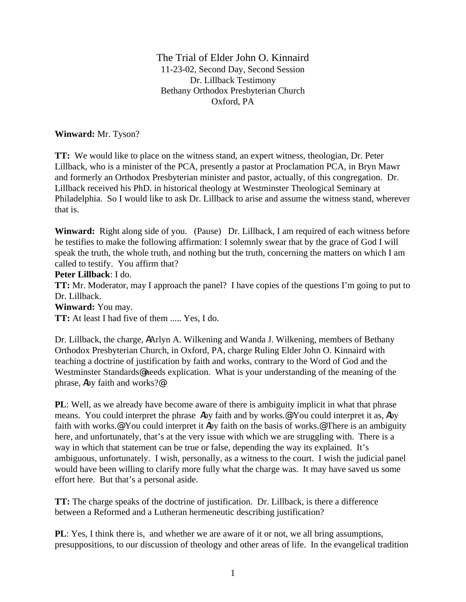The Trial of Elder John O. Kinnaird 11-23-02, Second Day, Second Session Dr. Lillback Testimony Bethany Orthodox Presbyterian Church Oxford, PA

**Winward:** Mr. Tyson?

**TT:** We would like to place on the witness stand, an expert witness, theologian, Dr. Peter Lillback, who is a minister of the PCA, presently a pastor at Proclamation PCA, in Bryn Mawr and formerly an Orthodox Presbyterian minister and pastor, actually, of this congregation. Dr. Lillback received his PhD. in historical theology at Westminster Theological Seminary at Philadelphia. So I would like to ask Dr. Lillback to arise and assume the witness stand, wherever that is.

**Winward:** Right along side of you. (Pause) Dr. Lillback, I am required of each witness before he testifies to make the following affirmation: I solemnly swear that by the grace of God I will speak the truth, the whole truth, and nothing but the truth, concerning the matters on which I am called to testify. You affirm that?

**Peter Lillback**: I do.

**TT:** Mr. Moderator, may I approach the panel? I have copies of the questions I'm going to put to Dr. Lillback.

**Winward:** You may.

**TT:** At least I had five of them ..... Yes, I do.

Dr. Lillback, the charge, AArlyn A. Wilkening and Wanda J. Wilkening, members of Bethany Orthodox Presbyterian Church, in Oxford, PA, charge Ruling Elder John O. Kinnaird with teaching a doctrine of justification by faith and works, contrary to the Word of God and the Westminster Standards@needs explication. What is your understanding of the meaning of the phrase, Aby faith and works?@

**PL**: Well, as we already have become aware of there is ambiguity implicit in what that phrase means. You could interpret the phrase Aby faith and by works.@ You could interpret it as, Aby faith with works.<sup>@</sup> You could interpret it Aby faith on the basis of works.<sup>@</sup> There is an ambiguity here, and unfortunately, that's at the very issue with which we are struggling with. There is a way in which that statement can be true or false, depending the way its explained. It's ambiguous, unfortunately. I wish, personally, as a witness to the court. I wish the judicial panel would have been willing to clarify more fully what the charge was. It may have saved us some effort here. But that's a personal aside.

**TT:** The charge speaks of the doctrine of justification. Dr. Lillback, is there a difference between a Reformed and a Lutheran hermeneutic describing justification?

**PL**: Yes, I think there is, and whether we are aware of it or not, we all bring assumptions, presuppositions, to our discussion of theology and other areas of life. In the evangelical tradition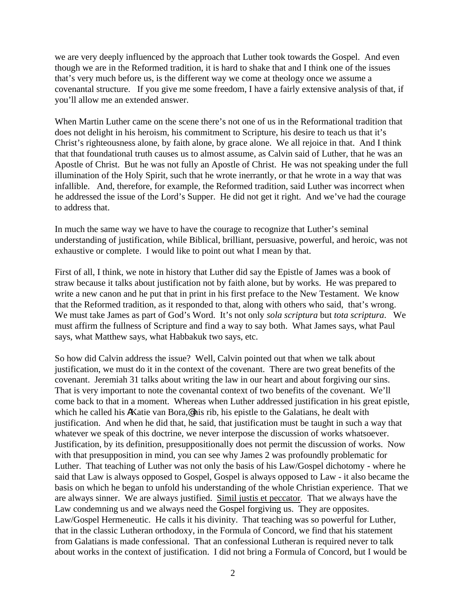we are very deeply influenced by the approach that Luther took towards the Gospel. And even though we are in the Reformed tradition, it is hard to shake that and I think one of the issues that's very much before us, is the different way we come at theology once we assume a covenantal structure. If you give me some freedom, I have a fairly extensive analysis of that, if you'll allow me an extended answer.

When Martin Luther came on the scene there's not one of us in the Reformational tradition that does not delight in his heroism, his commitment to Scripture, his desire to teach us that it's Christ's righteousness alone, by faith alone, by grace alone. We all rejoice in that. And I think that that foundational truth causes us to almost assume, as Calvin said of Luther, that he was an Apostle of Christ. But he was not fully an Apostle of Christ. He was not speaking under the full illumination of the Holy Spirit, such that he wrote inerrantly, or that he wrote in a way that was infallible. And, therefore, for example, the Reformed tradition, said Luther was incorrect when he addressed the issue of the Lord's Supper. He did not get it right. And we've had the courage to address that.

In much the same way we have to have the courage to recognize that Luther's seminal understanding of justification, while Biblical, brilliant, persuasive, powerful, and heroic, was not exhaustive or complete. I would like to point out what I mean by that.

First of all, I think, we note in history that Luther did say the Epistle of James was a book of straw because it talks about justification not by faith alone, but by works. He was prepared to write a new canon and he put that in print in his first preface to the New Testament. We know that the Reformed tradition, as it responded to that, along with others who said, that's wrong. We must take James as part of God's Word. It's not only *sola scriptura* but *tota scriptura*. We must affirm the fullness of Scripture and find a way to say both. What James says, what Paul says, what Matthew says, what Habbakuk two says, etc.

So how did Calvin address the issue? Well, Calvin pointed out that when we talk about justification, we must do it in the context of the covenant. There are two great benefits of the covenant. Jeremiah 31 talks about writing the law in our heart and about forgiving our sins. That is very important to note the covenantal context of two benefits of the covenant. We'll come back to that in a moment. Whereas when Luther addressed justification in his great epistle, which he called his AKatie van Bora,@ his rib, his epistle to the Galatians, he dealt with justification. And when he did that, he said, that justification must be taught in such a way that whatever we speak of this doctrine, we never interpose the discussion of works whatsoever. Justification, by its definition, presuppositionally does not permit the discussion of works. Now with that presupposition in mind, you can see why James 2 was profoundly problematic for Luther. That teaching of Luther was not only the basis of his Law/Gospel dichotomy - where he said that Law is always opposed to Gospel, Gospel is always opposed to Law - it also became the basis on which he began to unfold his understanding of the whole Christian experience. That we are always sinner. We are always justified. Simil justis et peccator. That we always have the Law condemning us and we always need the Gospel forgiving us. They are opposites. Law/Gospel Hermeneutic. He calls it his divinity. That teaching was so powerful for Luther, that in the classic Lutheran orthodoxy, in the Formula of Concord, we find that his statement from Galatians is made confessional. That an confessional Lutheran is required never to talk about works in the context of justification. I did not bring a Formula of Concord, but I would be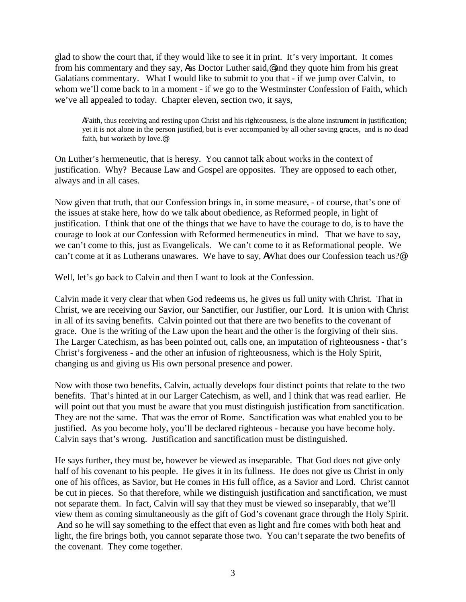glad to show the court that, if they would like to see it in print. It's very important. It comes from his commentary and they say, Aas Doctor Luther said,@ and they quote him from his great Galatians commentary. What I would like to submit to you that - if we jump over Calvin, to whom we'll come back to in a moment - if we go to the Westminster Confession of Faith, which we've all appealed to today. Chapter eleven, section two, it says,

AFaith, thus receiving and resting upon Christ and his righteousness, is the alone instrument in justification; yet it is not alone in the person justified, but is ever accompanied by all other saving graces, and is no dead faith, but worketh by love.@

On Luther's hermeneutic, that is heresy. You cannot talk about works in the context of justification. Why? Because Law and Gospel are opposites. They are opposed to each other, always and in all cases.

Now given that truth, that our Confession brings in, in some measure, - of course, that's one of the issues at stake here, how do we talk about obedience, as Reformed people, in light of justification. I think that one of the things that we have to have the courage to do, is to have the courage to look at our Confession with Reformed hermeneutics in mind. That we have to say, we can't come to this, just as Evangelicals. We can't come to it as Reformational people. We can't come at it as Lutherans unawares. We have to say, AWhat does our Confession teach us?@

Well, let's go back to Calvin and then I want to look at the Confession.

Calvin made it very clear that when God redeems us, he gives us full unity with Christ. That in Christ, we are receiving our Savior, our Sanctifier, our Justifier, our Lord. It is union with Christ in all of its saving benefits. Calvin pointed out that there are two benefits to the covenant of grace. One is the writing of the Law upon the heart and the other is the forgiving of their sins. The Larger Catechism, as has been pointed out, calls one, an imputation of righteousness - that's Christ's forgiveness - and the other an infusion of righteousness, which is the Holy Spirit, changing us and giving us His own personal presence and power.

Now with those two benefits, Calvin, actually develops four distinct points that relate to the two benefits. That's hinted at in our Larger Catechism, as well, and I think that was read earlier. He will point out that you must be aware that you must distinguish justification from sanctification. They are not the same. That was the error of Rome. Sanctification was what enabled you to be justified. As you become holy, you'll be declared righteous - because you have become holy. Calvin says that's wrong. Justification and sanctification must be distinguished.

He says further, they must be, however be viewed as inseparable. That God does not give only half of his covenant to his people. He gives it in its fullness. He does not give us Christ in only one of his offices, as Savior, but He comes in His full office, as a Savior and Lord. Christ cannot be cut in pieces. So that therefore, while we distinguish justification and sanctification, we must not separate them. In fact, Calvin will say that they must be viewed so inseparably, that we'll view them as coming simultaneously as the gift of God's covenant grace through the Holy Spirit. And so he will say something to the effect that even as light and fire comes with both heat and light, the fire brings both, you cannot separate those two. You can't separate the two benefits of the covenant. They come together.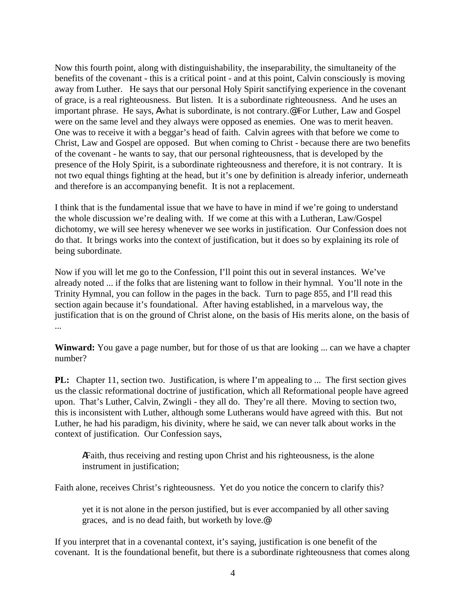Now this fourth point, along with distinguishability, the inseparability, the simultaneity of the benefits of the covenant - this is a critical point - and at this point, Calvin consciously is moving away from Luther. He says that our personal Holy Spirit sanctifying experience in the covenant of grace, is a real righteousness. But listen. It is a subordinate righteousness. And he uses an important phrase. He says, Awhat is subordinate, is not contrary.@ For Luther, Law and Gospel were on the same level and they always were opposed as enemies. One was to merit heaven. One was to receive it with a beggar's head of faith. Calvin agrees with that before we come to Christ, Law and Gospel are opposed. But when coming to Christ - because there are two benefits of the covenant - he wants to say, that our personal righteousness, that is developed by the presence of the Holy Spirit, is a subordinate righteousness and therefore, it is not contrary. It is not two equal things fighting at the head, but it's one by definition is already inferior, underneath and therefore is an accompanying benefit. It is not a replacement.

I think that is the fundamental issue that we have to have in mind if we're going to understand the whole discussion we're dealing with. If we come at this with a Lutheran, Law/Gospel dichotomy, we will see heresy whenever we see works in justification. Our Confession does not do that. It brings works into the context of justification, but it does so by explaining its role of being subordinate.

Now if you will let me go to the Confession, I'll point this out in several instances. We've already noted ... if the folks that are listening want to follow in their hymnal. You'll note in the Trinity Hymnal, you can follow in the pages in the back. Turn to page 855, and I'll read this section again because it's foundational. After having established, in a marvelous way, the justification that is on the ground of Christ alone, on the basis of His merits alone, on the basis of ...

**Winward:** You gave a page number, but for those of us that are looking ... can we have a chapter number?

**PL:** Chapter 11, section two. Justification, is where I'm appealing to ... The first section gives us the classic reformational doctrine of justification, which all Reformational people have agreed upon. That's Luther, Calvin, Zwingli - they all do. They're all there. Moving to section two, this is inconsistent with Luther, although some Lutherans would have agreed with this. But not Luther, he had his paradigm, his divinity, where he said, we can never talk about works in the context of justification. Our Confession says,

AFaith, thus receiving and resting upon Christ and his righteousness, is the alone instrument in justification;

Faith alone, receives Christ's righteousness. Yet do you notice the concern to clarify this?

yet it is not alone in the person justified, but is ever accompanied by all other saving graces, and is no dead faith, but worketh by love.@

If you interpret that in a covenantal context, it's saying, justification is one benefit of the covenant. It is the foundational benefit, but there is a subordinate righteousness that comes along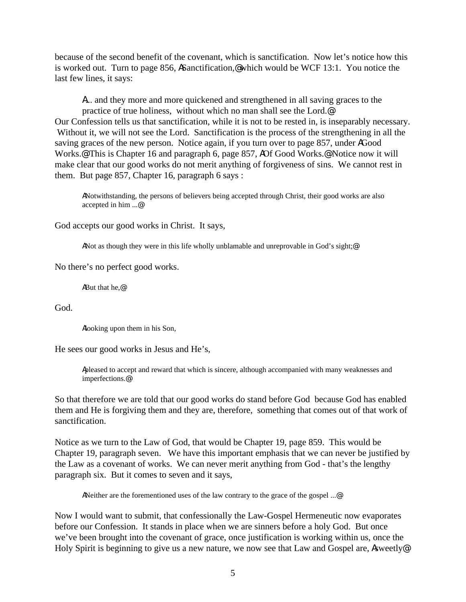because of the second benefit of the covenant, which is sanctification. Now let's notice how this is worked out. Turn to page 856, ASanctification,@ which would be WCF 13:1. You notice the last few lines, it says:

A... and they more and more quickened and strengthened in all saving graces to the practice of true holiness, without which no man shall see the Lord.@ Our Confession tells us that sanctification, while it is not to be rested in, is inseparably necessary. Without it, we will not see the Lord. Sanctification is the process of the strengthening in all the saving graces of the new person. Notice again, if you turn over to page 857, under AGood Works.<sup>@</sup> This is Chapter 16 and paragraph 6, page 857, AOf Good Works.<sup>@</sup> Notice now it will make clear that our good works do not merit anything of forgiveness of sins. We cannot rest in them. But page 857, Chapter 16, paragraph 6 says :

ANotwithstanding, the persons of believers being accepted through Christ, their good works are also accepted in him ...@

God accepts our good works in Christ. It says,

ANot as though they were in this life wholly unblamable and unreprovable in God's sight;<sup>@</sup>

No there's no perfect good works.

ABut that he,@

God.

Alooking upon them in his Son,

He sees our good works in Jesus and He's,

Apleased to accept and reward that which is sincere, although accompanied with many weaknesses and imperfections.@

So that therefore we are told that our good works do stand before God because God has enabled them and He is forgiving them and they are, therefore, something that comes out of that work of sanctification.

Notice as we turn to the Law of God, that would be Chapter 19, page 859. This would be Chapter 19, paragraph seven. We have this important emphasis that we can never be justified by the Law as a covenant of works. We can never merit anything from God - that's the lengthy paragraph six. But it comes to seven and it says,

ANeither are the forementioned uses of the law contrary to the grace of the gospel ...@

Now I would want to submit, that confessionally the Law-Gospel Hermeneutic now evaporates before our Confession. It stands in place when we are sinners before a holy God. But once we've been brought into the covenant of grace, once justification is working within us, once the Holy Spirit is beginning to give us a new nature, we now see that Law and Gospel are, Asweetly@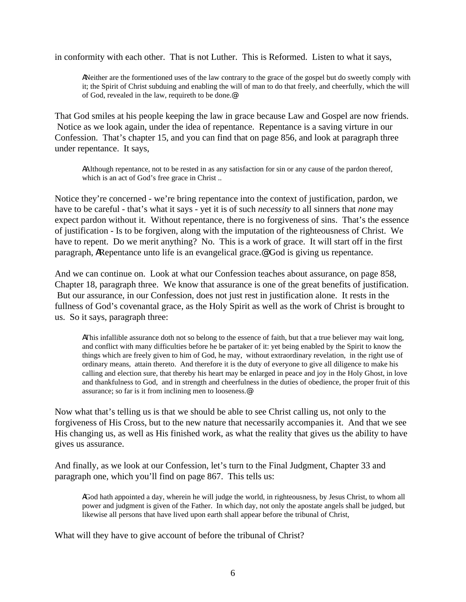in conformity with each other. That is not Luther. This is Reformed. Listen to what it says,

ANeither are the formentioned uses of the law contrary to the grace of the gospel but do sweetly comply with it; the Spirit of Christ subduing and enabling the will of man to do that freely, and cheerfully, which the will of God, revealed in the law, requireth to be done.@

That God smiles at his people keeping the law in grace because Law and Gospel are now friends. Notice as we look again, under the idea of repentance. Repentance is a saving virture in our Confession. That's chapter 15, and you can find that on page 856, and look at paragraph three under repentance. It says,

AAlthough repentance, not to be rested in as any satisfaction for sin or any cause of the pardon thereof, which is an act of God's free grace in Christ ..

Notice they're concerned - we're bring repentance into the context of justification, pardon, we have to be careful - that's what it says - yet it is of such *necessity* to all sinners that *none* may expect pardon without it. Without repentance, there is no forgiveness of sins. That's the essence of justification - Is to be forgiven, along with the imputation of the righteousness of Christ. We have to repent. Do we merit anything? No. This is a work of grace. It will start off in the first paragraph, ARepentance unto life is an evangelical grace.@ God is giving us repentance.

And we can continue on. Look at what our Confession teaches about assurance, on page 858, Chapter 18, paragraph three. We know that assurance is one of the great benefits of justification. But our assurance, in our Confession, does not just rest in justification alone. It rests in the fullness of God's covenantal grace, as the Holy Spirit as well as the work of Christ is brought to us. So it says, paragraph three:

AThis infallible assurance doth not so belong to the essence of faith, but that a true believer may wait long, and conflict with many difficulties before he be partaker of it: yet being enabled by the Spirit to know the things which are freely given to him of God, he may, without extraordinary revelation, in the right use of ordinary means, attain thereto. And therefore it is the duty of everyone to give all diligence to make his calling and election sure, that thereby his heart may be enlarged in peace and joy in the Holy Ghost, in love and thankfulness to God, and in strength and cheerfulness in the duties of obedience, the proper fruit of this assurance; so far is it from inclining men to looseness.@

Now what that's telling us is that we should be able to see Christ calling us, not only to the forgiveness of His Cross, but to the new nature that necessarily accompanies it. And that we see His changing us, as well as His finished work, as what the reality that gives us the ability to have gives us assurance.

And finally, as we look at our Confession, let's turn to the Final Judgment, Chapter 33 and paragraph one, which you'll find on page 867. This tells us:

AGod hath appointed a day, wherein he will judge the world, in righteousness, by Jesus Christ, to whom all power and judgment is given of the Father. In which day, not only the apostate angels shall be judged, but likewise all persons that have lived upon earth shall appear before the tribunal of Christ,

What will they have to give account of before the tribunal of Christ?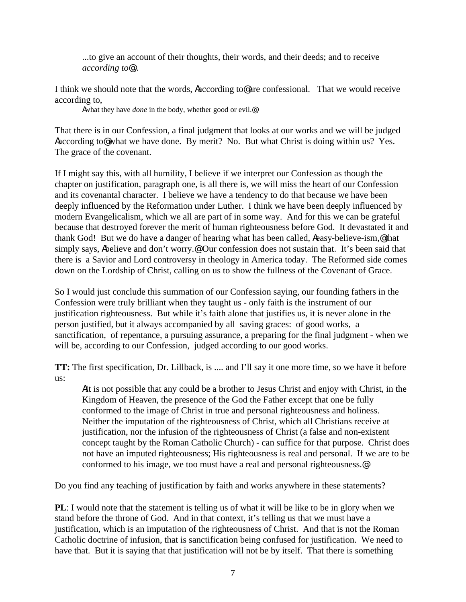...to give an account of their thoughts, their words, and their deeds; and to receive *according to*@...

I think we should note that the words, Aaccording to@ are confessional. That we would receive according to,

Awhat they have *done* in the body, whether good or evil.@

That there is in our Confession, a final judgment that looks at our works and we will be judged Aaccording to@ what we have done. By merit? No. But what Christ is doing within us? Yes. The grace of the covenant.

If I might say this, with all humility, I believe if we interpret our Confession as though the chapter on justification, paragraph one, is all there is, we will miss the heart of our Confession and its covenantal character. I believe we have a tendency to do that because we have been deeply influenced by the Reformation under Luther. I think we have been deeply influenced by modern Evangelicalism, which we all are part of in some way. And for this we can be grateful because that destroyed forever the merit of human righteousness before God. It devastated it and thank God! But we do have a danger of hearing what has been called, Aeasy-believe-ism,@that simply says, Abelieve and don't worry.<sup>@</sup> Our confession does not sustain that. It's been said that there is a Savior and Lord controversy in theology in America today. The Reformed side comes down on the Lordship of Christ, calling on us to show the fullness of the Covenant of Grace.

So I would just conclude this summation of our Confession saying, our founding fathers in the Confession were truly brilliant when they taught us - only faith is the instrument of our justification righteousness. But while it's faith alone that justifies us, it is never alone in the person justified, but it always accompanied by all saving graces: of good works, a sanctification, of repentance, a pursuing assurance, a preparing for the final judgment - when we will be, according to our Confession, judged according to our good works.

**TT:** The first specification, Dr. Lillback, is .... and I'll say it one more time, so we have it before us:

AIt is not possible that any could be a brother to Jesus Christ and enjoy with Christ, in the Kingdom of Heaven, the presence of the God the Father except that one be fully conformed to the image of Christ in true and personal righteousness and holiness. Neither the imputation of the righteousness of Christ, which all Christians receive at justification, nor the infusion of the righteousness of Christ (a false and non-existent concept taught by the Roman Catholic Church) - can suffice for that purpose. Christ does not have an imputed righteousness; His righteousness is real and personal. If we are to be conformed to his image, we too must have a real and personal righteousness.@

Do you find any teaching of justification by faith and works anywhere in these statements?

**PL**: I would note that the statement is telling us of what it will be like to be in glory when we stand before the throne of God. And in that context, it's telling us that we must have a justification, which is an imputation of the righteousness of Christ. And that is not the Roman Catholic doctrine of infusion, that is sanctification being confused for justification. We need to have that. But it is saying that that justification will not be by itself. That there is something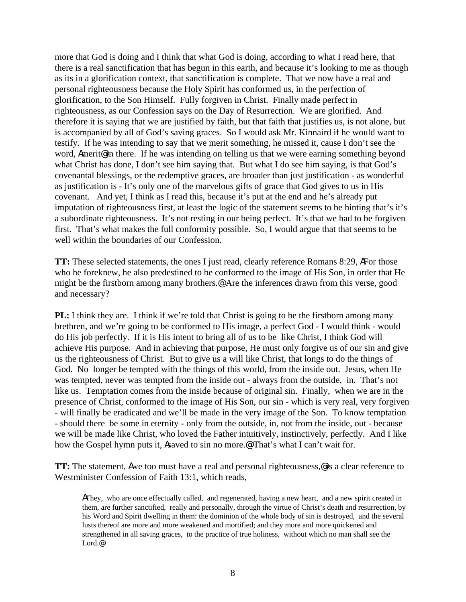more that God is doing and I think that what God is doing, according to what I read here, that there is a real sanctification that has begun in this earth, and because it's looking to me as though as its in a glorification context, that sanctification is complete. That we now have a real and personal righteousness because the Holy Spirit has conformed us, in the perfection of glorification, to the Son Himself. Fully forgiven in Christ. Finally made perfect in righteousness, as our Confession says on the Day of Resurrection. We are glorified. And therefore it is saying that we are justified by faith, but that faith that justifies us, is not alone, but is accompanied by all of God's saving graces. So I would ask Mr. Kinnaird if he would want to testify. If he was intending to say that we merit something, he missed it, cause I don't see the word, Amerit<sup>o</sup> in there. If he was intending on telling us that we were earning something beyond what Christ has done, I don't see him saying that. But what I do see him saying, is that God's covenantal blessings, or the redemptive graces, are broader than just justification - as wonderful as justification is - It's only one of the marvelous gifts of grace that God gives to us in His covenant. And yet, I think as I read this, because it's put at the end and he's already put imputation of righteousness first, at least the logic of the statement seems to be hinting that's it's a subordinate righteousness. It's not resting in our being perfect. It's that we had to be forgiven first. That's what makes the full conformity possible. So, I would argue that that seems to be well within the boundaries of our Confession.

**TT:** These selected statements, the ones I just read, clearly reference Romans 8:29, AFor those who he foreknew, he also predestined to be conformed to the image of His Son, in order that He might be the firstborn among many brothers.@ Are the inferences drawn from this verse, good and necessary?

**PL:** I think they are. I think if we're told that Christ is going to be the firstborn among many brethren, and we're going to be conformed to His image, a perfect God - I would think - would do His job perfectly. If it is His intent to bring all of us to be like Christ, I think God will achieve His purpose. And in achieving that purpose, He must only forgive us of our sin and give us the righteousness of Christ. But to give us a will like Christ, that longs to do the things of God. No longer be tempted with the things of this world, from the inside out. Jesus, when He was tempted, never was tempted from the inside out - always from the outside, in. That's not like us. Temptation comes from the inside because of original sin. Finally, when we are in the presence of Christ, conformed to the image of His Son, our sin - which is very real, very forgiven - will finally be eradicated and we'll be made in the very image of the Son. To know temptation - should there be some in eternity - only from the outside, in, not from the inside, out - because we will be made like Christ, who loved the Father intuitively, instinctively, perfectly. And I like how the Gospel hymn puts it, Asaved to sin no more.@ That's what I can't wait for.

**TT:** The statement, Awe too must have a real and personal righteousness, is a clear reference to Westminister Confession of Faith 13:1, which reads,

AThey, who are once effectually called, and regenerated, having a new heart, and a new spirit created in them, are further sanctified, really and personally, through the virtue of Christ's death and resurrection, by his Word and Spirit dwelling in them: the dominion of the whole body of sin is destroyed, and the several lusts thereof are more and more weakened and mortified; and they more and more quickened and strengthened in all saving graces, to the practice of true holiness, without which no man shall see the Lord.@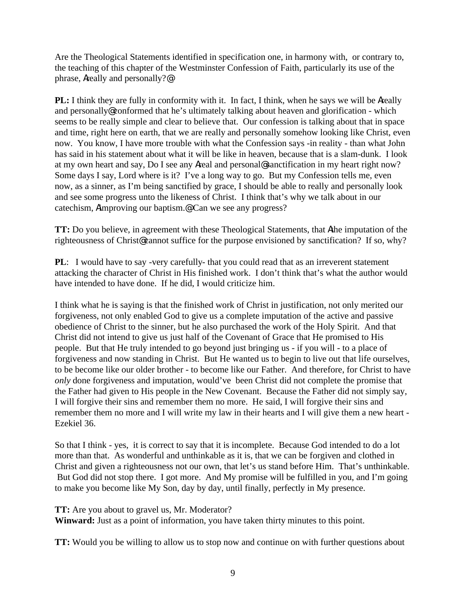Are the Theological Statements identified in specification one, in harmony with, or contrary to, the teaching of this chapter of the Westminster Confession of Faith, particularly its use of the phrase, Areally and personally?@

**PL:** I think they are fully in conformity with it. In fact, I think, when he says we will be Areally and personally@ conformed that he's ultimately talking about heaven and glorification - which seems to be really simple and clear to believe that. Our confession is talking about that in space and time, right here on earth, that we are really and personally somehow looking like Christ, even now. You know, I have more trouble with what the Confession says -in reality - than what John has said in his statement about what it will be like in heaven, because that is a slam-dunk. I look at my own heart and say, Do I see any Areal and personal@ sanctification in my heart right now? Some days I say, Lord where is it? I've a long way to go. But my Confession tells me, even now, as a sinner, as I'm being sanctified by grace, I should be able to really and personally look and see some progress unto the likeness of Christ. I think that's why we talk about in our catechism, Aimproving our baptism.@ Can we see any progress?

**TT:** Do you believe, in agreement with these Theological Statements, that Athe imputation of the righteousness of Christ@ cannot suffice for the purpose envisioned by sanctification? If so, why?

**PL**: I would have to say -very carefully- that you could read that as an irreverent statement attacking the character of Christ in His finished work. I don't think that's what the author would have intended to have done. If he did, I would criticize him.

I think what he is saying is that the finished work of Christ in justification, not only merited our forgiveness, not only enabled God to give us a complete imputation of the active and passive obedience of Christ to the sinner, but he also purchased the work of the Holy Spirit. And that Christ did not intend to give us just half of the Covenant of Grace that He promised to His people. But that He truly intended to go beyond just bringing us - if you will - to a place of forgiveness and now standing in Christ. But He wanted us to begin to live out that life ourselves, to be become like our older brother - to become like our Father. And therefore, for Christ to have *only* done forgiveness and imputation, would've been Christ did not complete the promise that the Father had given to His people in the New Covenant. Because the Father did not simply say, I will forgive their sins and remember them no more. He said, I will forgive their sins and remember them no more and I will write my law in their hearts and I will give them a new heart - Ezekiel 36.

So that I think - yes, it is correct to say that it is incomplete. Because God intended to do a lot more than that. As wonderful and unthinkable as it is, that we can be forgiven and clothed in Christ and given a righteousness not our own, that let's us stand before Him. That's unthinkable. But God did not stop there. I got more. And My promise will be fulfilled in you, and I'm going to make you become like My Son, day by day, until finally, perfectly in My presence.

**TT:** Are you about to gravel us, Mr. Moderator?

**Winward:** Just as a point of information, you have taken thirty minutes to this point.

**TT:** Would you be willing to allow us to stop now and continue on with further questions about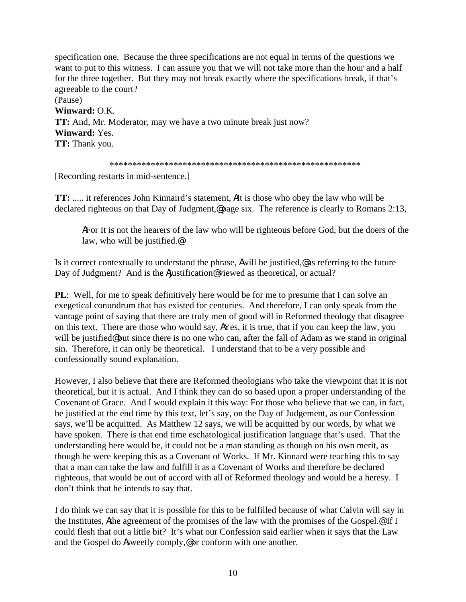specification one. Because the three specifications are not equal in terms of the questions we want to put to this witness. I can assure you that we will not take more than the hour and a half for the three together. But they may not break exactly where the specifications break, if that's agreeable to the court? (Pause) **Winward:** O.K.

**TT:** And, Mr. Moderator, may we have a two minute break just now? **Winward:** Yes. **TT:** Thank you.

\*\*\*\*\*\*\*\*\*\*\*\*\*\*\*\*\*\*\*\*\*\*\*\*\*\*\*\*\*\*\*\*\*\*\*\*\*\*\*\*\*\*\*\*\*\*\*\*\*\*\*\*\*\*\*

[Recording restarts in mid-sentence.]

**TT:** ..... it references John Kinnaird's statement, AIt is those who obey the law who will be declared righteous on that Day of Judgment,@ page six. The reference is clearly to Romans 2:13,

AFor It is not the hearers of the law who will be righteous before God, but the doers of the law, who will be justified.@

Is it correct contextually to understand the phrase, Awill be justified,@ as referring to the future Day of Judgment? And is the Ajustification@viewed as theoretical, or actual?

**PL**: Well, for me to speak definitively here would be for me to presume that I can solve an exegetical conundrum that has existed for centuries. And therefore, I can only speak from the vantage point of saying that there are truly men of good will in Reformed theology that disagree on this text. There are those who would say, AYes, it is true, that if you can keep the law, you will be justified@ but since there is no one who can, after the fall of Adam as we stand in original sin. Therefore, it can only be theoretical. I understand that to be a very possible and confessionally sound explanation.

However, I also believe that there are Reformed theologians who take the viewpoint that it is not theoretical, but it is actual. And I think they can do so based upon a proper understanding of the Covenant of Grace. And I would explain it this way: For those who believe that we can, in fact, be justified at the end time by this text, let's say, on the Day of Judgement, as our Confession says, we'll be acquitted. As Matthew 12 says, we will be acquitted by our words, by what we have spoken. There is that end time eschatological justification language that's used. That the understanding here would be, it could not be a man standing as though on his own merit, as though he were keeping this as a Covenant of Works. If Mr. Kinnard were teaching this to say that a man can take the law and fulfill it as a Covenant of Works and therefore be declared righteous, that would be out of accord with all of Reformed theology and would be a heresy. I don't think that he intends to say that.

I do think we can say that it is possible for this to be fulfilled because of what Calvin will say in the Institutes, Athe agreement of the promises of the law with the promises of the Gospel.@ If I could flesh that out a little bit? It's what our Confession said earlier when it says that the Law and the Gospel do Asweetly comply,@ or conform with one another.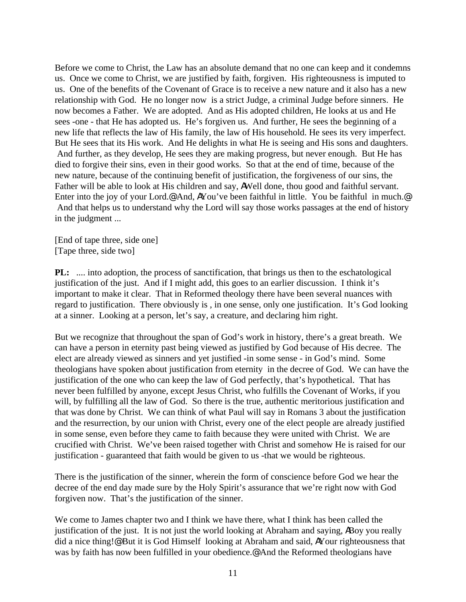Before we come to Christ, the Law has an absolute demand that no one can keep and it condemns us. Once we come to Christ, we are justified by faith, forgiven. His righteousness is imputed to us. One of the benefits of the Covenant of Grace is to receive a new nature and it also has a new relationship with God. He no longer now is a strict Judge, a criminal Judge before sinners. He now becomes a Father. We are adopted. And as His adopted children, He looks at us and He sees -one - that He has adopted us. He's forgiven us. And further, He sees the beginning of a new life that reflects the law of His family, the law of His household. He sees its very imperfect. But He sees that its His work. And He delights in what He is seeing and His sons and daughters. And further, as they develop, He sees they are making progress, but never enough. But He has died to forgive their sins, even in their good works. So that at the end of time, because of the new nature, because of the continuing benefit of justification, the forgiveness of our sins, the Father will be able to look at His children and say, AWell done, thou good and faithful servant. Enter into the joy of your Lord.@ And, AYou've been faithful in little. You be faithful in much.@ And that helps us to understand why the Lord will say those works passages at the end of history in the judgment ...

[End of tape three, side one] [Tape three, side two]

**PL:** .... into adoption, the process of sanctification, that brings us then to the eschatological justification of the just. And if I might add, this goes to an earlier discussion. I think it's important to make it clear. That in Reformed theology there have been several nuances with regard to justification. There obviously is , in one sense, only one justification. It's God looking at a sinner. Looking at a person, let's say, a creature, and declaring him right.

But we recognize that throughout the span of God's work in history, there's a great breath. We can have a person in eternity past being viewed as justified by God because of His decree. The elect are already viewed as sinners and yet justified -in some sense - in God's mind. Some theologians have spoken about justification from eternity in the decree of God. We can have the justification of the one who can keep the law of God perfectly, that's hypothetical. That has never been fulfilled by anyone, except Jesus Christ, who fulfills the Covenant of Works, if you will, by fulfilling all the law of God. So there is the true, authentic meritorious justification and that was done by Christ. We can think of what Paul will say in Romans 3 about the justification and the resurrection, by our union with Christ, every one of the elect people are already justified in some sense, even before they came to faith because they were united with Christ. We are crucified with Christ. We've been raised together with Christ and somehow He is raised for our justification - guaranteed that faith would be given to us -that we would be righteous.

There is the justification of the sinner, wherein the form of conscience before God we hear the decree of the end day made sure by the Holy Spirit's assurance that we're right now with God forgiven now. That's the justification of the sinner.

We come to James chapter two and I think we have there, what I think has been called the justification of the just. It is not just the world looking at Abraham and saying, ABoy you really did a nice thing!@ But it is God Himself looking at Abraham and said, AYour righteousness that was by faith has now been fulfilled in your obedience.<sup>@</sup> And the Reformed theologians have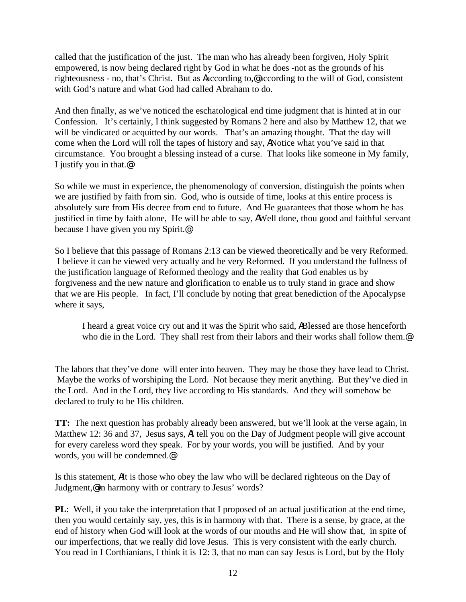called that the justification of the just. The man who has already been forgiven, Holy Spirit empowered, is now being declared right by God in what he does -not as the grounds of his righteousness - no, that's Christ. But as Aaccording to,@ according to the will of God, consistent with God's nature and what God had called Abraham to do.

And then finally, as we've noticed the eschatological end time judgment that is hinted at in our Confession. It's certainly, I think suggested by Romans 2 here and also by Matthew 12, that we will be vindicated or acquitted by our words. That's an amazing thought. That the day will come when the Lord will roll the tapes of history and say, ANotice what you've said in that circumstance. You brought a blessing instead of a curse. That looks like someone in My family, I justify you in that.@

So while we must in experience, the phenomenology of conversion, distinguish the points when we are justified by faith from sin. God, who is outside of time, looks at this entire process is absolutely sure from His decree from end to future. And He guarantees that those whom he has justified in time by faith alone, He will be able to say, AWell done, thou good and faithful servant because I have given you my Spirit.@

So I believe that this passage of Romans 2:13 can be viewed theoretically and be very Reformed. I believe it can be viewed very actually and be very Reformed. If you understand the fullness of the justification language of Reformed theology and the reality that God enables us by forgiveness and the new nature and glorification to enable us to truly stand in grace and show that we are His people. In fact, I'll conclude by noting that great benediction of the Apocalypse where it says,

I heard a great voice cry out and it was the Spirit who said, ABlessed are those henceforth who die in the Lord. They shall rest from their labors and their works shall follow them.<sup>@</sup>

The labors that they've done will enter into heaven. They may be those they have lead to Christ. Maybe the works of worshiping the Lord. Not because they merit anything. But they've died in the Lord. And in the Lord, they live according to His standards. And they will somehow be declared to truly to be His children.

**TT:** The next question has probably already been answered, but we'll look at the verse again, in Matthew 12: 36 and 37, Jesus says, AI tell you on the Day of Judgment people will give account for every careless word they speak. For by your words, you will be justified. And by your words, you will be condemned.@

Is this statement, AIt is those who obey the law who will be declared righteous on the Day of Judgment,@ in harmony with or contrary to Jesus' words?

**PL**: Well, if you take the interpretation that I proposed of an actual justification at the end time, then you would certainly say, yes, this is in harmony with that. There is a sense, by grace, at the end of history when God will look at the words of our mouths and He will show that, in spite of our imperfections, that we really did love Jesus. This is very consistent with the early church. You read in I Corthianians, I think it is 12: 3, that no man can say Jesus is Lord, but by the Holy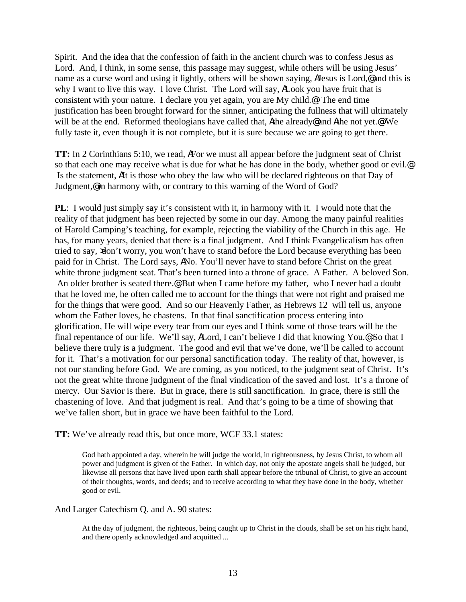Spirit. And the idea that the confession of faith in the ancient church was to confess Jesus as Lord. And, I think, in some sense, this passage may suggest, while others will be using Jesus' name as a curse word and using it lightly, others will be shown saying, A Jesus is Lord, @ and this is why I want to live this way. I love Christ. The Lord will say, ALook you have fruit that is consistent with your nature. I declare you yet again, you are My child.@ The end time justification has been brought forward for the sinner, anticipating the fullness that will ultimately will be at the end. Reformed theologians have called that, Athe already@ and Athe not yet.@ We fully taste it, even though it is not complete, but it is sure because we are going to get there.

**TT:** In 2 Corinthians 5:10, we read, AFor we must all appear before the judgment seat of Christ so that each one may receive what is due for what he has done in the body, whether good or evil.<sup>@</sup> Is the statement, AIt is those who obey the law who will be declared righteous on that Day of Judgment,@ in harmony with, or contrary to this warning of the Word of God?

**PL**: I would just simply say it's consistent with it, in harmony with it. I would note that the reality of that judgment has been rejected by some in our day. Among the many painful realities of Harold Camping's teaching, for example, rejecting the viability of the Church in this age. He has, for many years, denied that there is a final judgment. And I think Evangelicalism has often tried to say, xdon't worry, you won't have to stand before the Lord because everything has been paid for in Christ. The Lord says, ANo. You'll never have to stand before Christ on the great white throne judgment seat. That's been turned into a throne of grace. A Father. A beloved Son. An older brother is seated there.<sup>@</sup> But when I came before my father, who I never had a doubt that he loved me, he often called me to account for the things that were not right and praised me for the things that were good. And so our Heavenly Father, as Hebrews 12 will tell us, anyone whom the Father loves, he chastens. In that final sanctification process entering into glorification, He will wipe every tear from our eyes and I think some of those tears will be the final repentance of our life. We'll say, ALord, I can't believe I did that knowing You.<sup>@</sup> So that I believe there truly is a judgment. The good and evil that we've done, we'll be called to account for it. That's a motivation for our personal sanctification today. The reality of that, however, is not our standing before God. We are coming, as you noticed, to the judgment seat of Christ. It's not the great white throne judgment of the final vindication of the saved and lost. It's a throne of mercy. Our Savior is there. But in grace, there is still sanctification. In grace, there is still the chastening of love. And that judgment is real. And that's going to be a time of showing that we've fallen short, but in grace we have been faithful to the Lord.

**TT:** We've already read this, but once more, WCF 33.1 states:

God hath appointed a day, wherein he will judge the world, in righteousness, by Jesus Christ, to whom all power and judgment is given of the Father. In which day, not only the apostate angels shall be judged, but likewise all persons that have lived upon earth shall appear before the tribunal of Christ, to give an account of their thoughts, words, and deeds; and to receive according to what they have done in the body, whether good or evil.

### And Larger Catechism Q. and A. 90 states:

At the day of judgment, the righteous, being caught up to Christ in the clouds, shall be set on his right hand, and there openly acknowledged and acquitted ...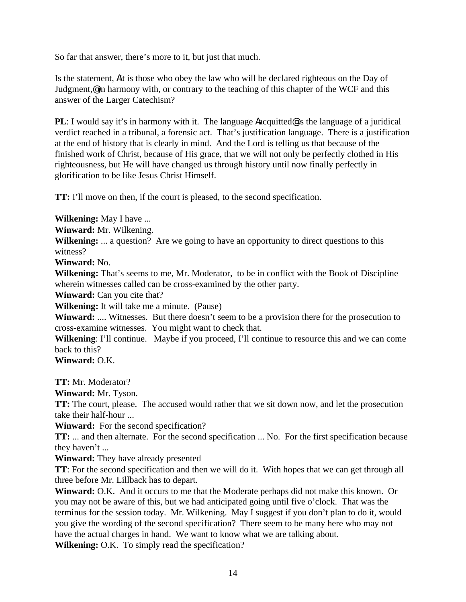So far that answer, there's more to it, but just that much.

Is the statement, Ait is those who obey the law who will be declared righteous on the Day of Judgment,@ in harmony with, or contrary to the teaching of this chapter of the WCF and this answer of the Larger Catechism?

**PL**: I would say it's in harmony with it. The language **A**acquitted is the language of a juridical verdict reached in a tribunal, a forensic act. That's justification language. There is a justification at the end of history that is clearly in mind. And the Lord is telling us that because of the finished work of Christ, because of His grace, that we will not only be perfectly clothed in His righteousness, but He will have changed us through history until now finally perfectly in glorification to be like Jesus Christ Himself.

**TT:** I'll move on then, if the court is pleased, to the second specification.

**Wilkening:** May I have ...

**Winward:** Mr. Wilkening.

**Wilkening:** ... a question? Are we going to have an opportunity to direct questions to this witness?

**Winward:** No.

**Wilkening:** That's seems to me, Mr. Moderator, to be in conflict with the Book of Discipline wherein witnesses called can be cross-examined by the other party.

**Winward:** Can you cite that?

**Wilkening:** It will take me a minute. (Pause)

**Winward:** .... Witnesses. But there doesn't seem to be a provision there for the prosecution to cross-examine witnesses. You might want to check that.

**Wilkening**: I'll continue. Maybe if you proceed, I'll continue to resource this and we can come back to this?

**Winward:** O.K.

**TT:** Mr. Moderator?

**Winward:** Mr. Tyson.

**TT:** The court, please. The accused would rather that we sit down now, and let the prosecution take their half-hour ...

**Winward:** For the second specification?

**TT:** ... and then alternate. For the second specification ... No. For the first specification because they haven't ...

**Winward:** They have already presented

**TT**: For the second specification and then we will do it. With hopes that we can get through all three before Mr. Lillback has to depart.

**Winward:** O.K. And it occurs to me that the Moderate perhaps did not make this known. Or you may not be aware of this, but we had anticipated going until five o'clock. That was the terminus for the session today. Mr. Wilkening. May I suggest if you don't plan to do it, would you give the wording of the second specification? There seem to be many here who may not have the actual charges in hand. We want to know what we are talking about.

**Wilkening:** O.K. To simply read the specification?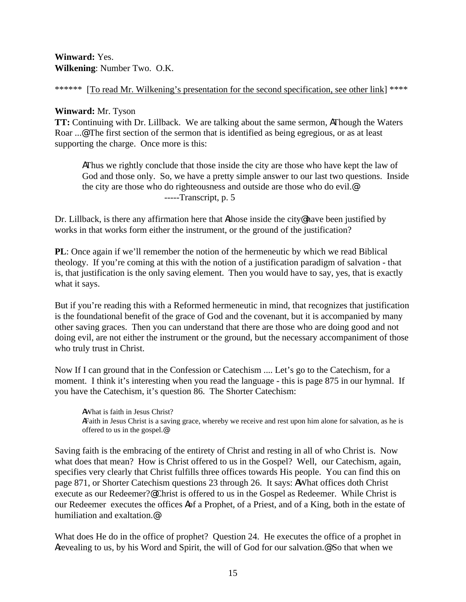**Winward:** Yes. **Wilkening**: Number Two. O.K.

\*\*\*\*\*\* [To read Mr. Wilkening's presentation for the second specification, see other link] \*\*\*\*

# **Winward:** Mr. Tyson

**TT:** Continuing with Dr. Lillback. We are talking about the same sermon, AThough the Waters Roar ...@ The first section of the sermon that is identified as being egregious, or as at least supporting the charge. Once more is this:

AThus we rightly conclude that those inside the city are those who have kept the law of God and those only. So, we have a pretty simple answer to our last two questions. Inside the city are those who do righteousness and outside are those who do evil.@ -----Transcript, p. 5

Dr. Lillback, is there any affirmation here that Athose inside the city@ have been justified by works in that works form either the instrument, or the ground of the justification?

**PL**: Once again if we'll remember the notion of the hermeneutic by which we read Biblical theology. If you're coming at this with the notion of a justification paradigm of salvation - that is, that justification is the only saving element. Then you would have to say, yes, that is exactly what it says.

But if you're reading this with a Reformed hermeneutic in mind, that recognizes that justification is the foundational benefit of the grace of God and the covenant, but it is accompanied by many other saving graces. Then you can understand that there are those who are doing good and not doing evil, are not either the instrument or the ground, but the necessary accompaniment of those who truly trust in Christ.

Now If I can ground that in the Confession or Catechism .... Let's go to the Catechism, for a moment. I think it's interesting when you read the language - this is page 875 in our hymnal. If you have the Catechism, it's question 86. The Shorter Catechism:

AWhat is faith in Jesus Christ? AFaith in Jesus Christ is a saving grace, whereby we receive and rest upon him alone for salvation, as he is offered to us in the gospel.@

Saving faith is the embracing of the entirety of Christ and resting in all of who Christ is. Now what does that mean? How is Christ offered to us in the Gospel? Well, our Catechism, again, specifies very clearly that Christ fulfills three offices towards His people. You can find this on page 871, or Shorter Catechism questions 23 through 26. It says: AWhat offices doth Christ execute as our Redeemer?@ Christ is offered to us in the Gospel as Redeemer. While Christ is our Redeemer executes the offices Aof a Prophet, of a Priest, and of a King, both in the estate of humiliation and exaltation.@

What does He do in the office of prophet? Question 24. He executes the office of a prophet in Arevealing to us, by his Word and Spirit, the will of God for our salvation.@ So that when we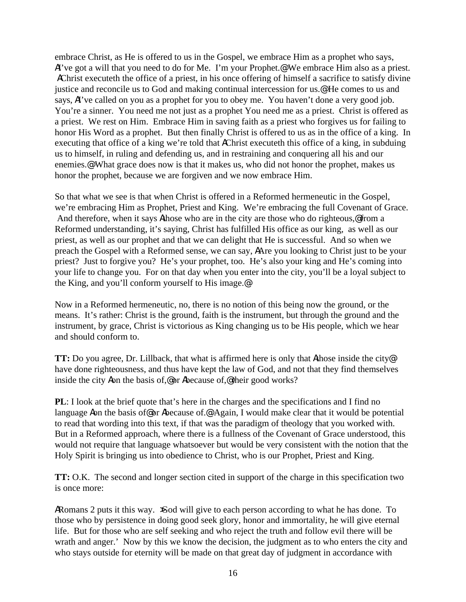embrace Christ, as He is offered to us in the Gospel, we embrace Him as a prophet who says, AI've got a will that you need to do for Me. I'm your Prophet.@ We embrace Him also as a priest. AChrist executeth the office of a priest, in his once offering of himself a sacrifice to satisfy divine justice and reconcile us to God and making continual intercession for us.@ He comes to us and says, AI've called on you as a prophet for you to obey me. You haven't done a very good job. You're a sinner. You need me not just as a prophet You need me as a priest. Christ is offered as a priest. We rest on Him. Embrace Him in saving faith as a priest who forgives us for failing to honor His Word as a prophet. But then finally Christ is offered to us as in the office of a king. In executing that office of a king we're told that AChrist executeth this office of a king, in subduing us to himself, in ruling and defending us, and in restraining and conquering all his and our enemies.@ What grace does now is that it makes us, who did not honor the prophet, makes us honor the prophet, because we are forgiven and we now embrace Him.

So that what we see is that when Christ is offered in a Reformed hermeneutic in the Gospel, we're embracing Him as Prophet, Priest and King. We're embracing the full Covenant of Grace. And therefore, when it says Athose who are in the city are those who do righteous, If from a Reformed understanding, it's saying, Christ has fulfilled His office as our king, as well as our priest, as well as our prophet and that we can delight that He is successful. And so when we preach the Gospel with a Reformed sense, we can say, AAre you looking to Christ just to be your priest? Just to forgive you? He's your prophet, too. He's also your king and He's coming into your life to change you. For on that day when you enter into the city, you'll be a loyal subject to the King, and you'll conform yourself to His image.@

Now in a Reformed hermeneutic, no, there is no notion of this being now the ground, or the means. It's rather: Christ is the ground, faith is the instrument, but through the ground and the instrument, by grace, Christ is victorious as King changing us to be His people, which we hear and should conform to.

**TT:** Do you agree, Dr. Lillback, that what is affirmed here is only that Athose inside the city@ have done righteousness, and thus have kept the law of God, and not that they find themselves inside the city Aon the basis of,@ or Abecause of,@ their good works?

**PL**: I look at the brief quote that's here in the charges and the specifications and I find no language Aon the basis of or Abecause of. Again, I would make clear that it would be potential to read that wording into this text, if that was the paradigm of theology that you worked with. But in a Reformed approach, where there is a fullness of the Covenant of Grace understood, this would not require that language whatsoever but would be very consistent with the notion that the Holy Spirit is bringing us into obedience to Christ, who is our Prophet, Priest and King.

**TT:** O.K. The second and longer section cited in support of the charge in this specification two is once more:

ARomans 2 puts it this way. Sod will give to each person according to what he has done. To those who by persistence in doing good seek glory, honor and immortality, he will give eternal life. But for those who are self seeking and who reject the truth and follow evil there will be wrath and anger.' Now by this we know the decision, the judgment as to who enters the city and who stays outside for eternity will be made on that great day of judgment in accordance with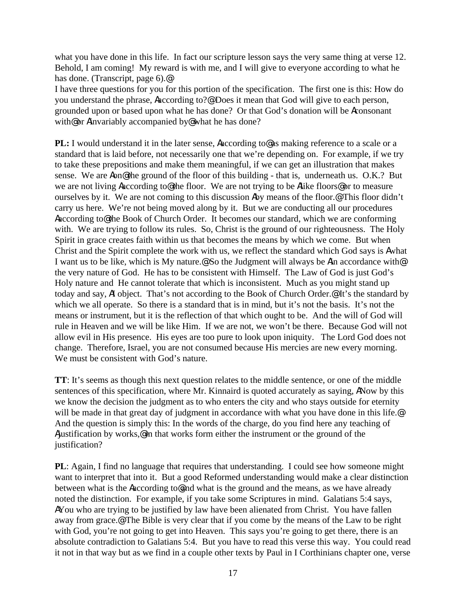what you have done in this life. In fact our scripture lesson says the very same thing at verse 12. Behold, I am coming! My reward is with me, and I will give to everyone according to what he has done. (Transcript, page 6).@

I have three questions for you for this portion of the specification. The first one is this: How do you understand the phrase, Aaccording to?@ Does it mean that God will give to each person, grounded upon or based upon what he has done? Or that God's donation will be Aconsonant with@ or Ainvariably accompanied by@ what he has done?

**PL:** I would understand it in the later sense, Aaccording to as making reference to a scale or a standard that is laid before, not necessarily one that we're depending on. For example, if we try to take these prepositions and make them meaningful, if we can get an illustration that makes sense. We are **A**on@ the ground of the floor of this building - that is, underneath us. O.K.? But we are not living Aaccording to@ the floor. We are not trying to be Alike floors@ or to measure ourselves by it. We are not coming to this discussion Aby means of the floor.@ This floor didn't carry us here. We're not being moved along by it. But we are conducting all our procedures Aaccording to@ the Book of Church Order. It becomes our standard, which we are conforming with. We are trying to follow its rules. So, Christ is the ground of our righteousness. The Holy Spirit in grace creates faith within us that becomes the means by which we come. But when Christ and the Spirit complete the work with us, we reflect the standard which God says is Awhat I want us to be like, which is My nature.@ So the Judgment will always be Ain accordance with@ the very nature of God. He has to be consistent with Himself. The Law of God is just God's Holy nature and He cannot tolerate that which is inconsistent. Much as you might stand up today and say, AI object. That's not according to the Book of Church Order.@ It's the standard by which we all operate. So there is a standard that is in mind, but it's not the basis. It's not the means or instrument, but it is the reflection of that which ought to be. And the will of God will rule in Heaven and we will be like Him. If we are not, we won't be there. Because God will not allow evil in His presence. His eyes are too pure to look upon iniquity. The Lord God does not change. Therefore, Israel, you are not consumed because His mercies are new every morning. We must be consistent with God's nature.

**TT**: It's seems as though this next question relates to the middle sentence, or one of the middle sentences of this specification, where Mr. Kinnaird is quoted accurately as saying, ANow by this we know the decision the judgment as to who enters the city and who stays outside for eternity will be made in that great day of judgment in accordance with what you have done in this life. And the question is simply this: In the words of the charge, do you find here any teaching of Ajustification by works,@ in that works form either the instrument or the ground of the justification?

**PL**: Again, I find no language that requires that understanding. I could see how someone might want to interpret that into it. But a good Reformed understanding would make a clear distinction between what is the Aaccording to@and what is the ground and the means, as we have already noted the distinction. For example, if you take some Scriptures in mind. Galatians 5:4 says, AYou who are trying to be justified by law have been alienated from Christ. You have fallen away from grace.@ The Bible is very clear that if you come by the means of the Law to be right with God, you're not going to get into Heaven. This says you're going to get there, there is an absolute contradiction to Galatians 5:4. But you have to read this verse this way. You could read it not in that way but as we find in a couple other texts by Paul in I Corthinians chapter one, verse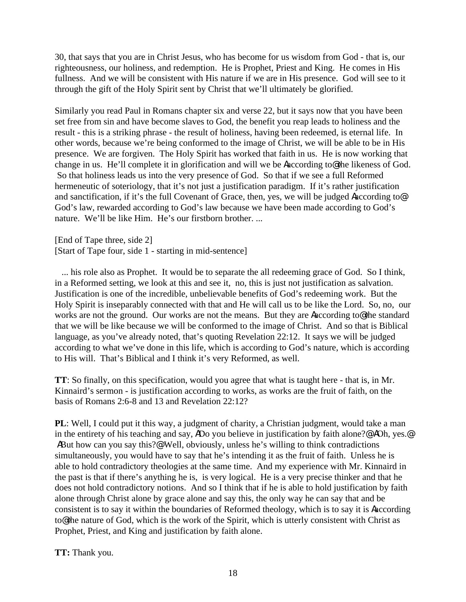30, that says that you are in Christ Jesus, who has become for us wisdom from God - that is, our righteousness, our holiness, and redemption. He is Prophet, Priest and King. He comes in His fullness. And we will be consistent with His nature if we are in His presence. God will see to it through the gift of the Holy Spirit sent by Christ that we'll ultimately be glorified.

Similarly you read Paul in Romans chapter six and verse 22, but it says now that you have been set free from sin and have become slaves to God, the benefit you reap leads to holiness and the result - this is a striking phrase - the result of holiness, having been redeemed, is eternal life. In other words, because we're being conformed to the image of Christ, we will be able to be in His presence. We are forgiven. The Holy Spirit has worked that faith in us. He is now working that change in us. He'll complete it in glorification and will we be Aaccording to@ the likeness of God. So that holiness leads us into the very presence of God. So that if we see a full Reformed hermeneutic of soteriology, that it's not just a justification paradigm. If it's rather justification and sanctification, if it's the full Covenant of Grace, then, yes, we will be judged Aaccording to  $\Phi$ God's law, rewarded according to God's law because we have been made according to God's nature. We'll be like Him. He's our firstborn brother. ...

[End of Tape three, side 2] [Start of Tape four, side 1 - starting in mid-sentence]

 ... his role also as Prophet. It would be to separate the all redeeming grace of God. So I think, in a Reformed setting, we look at this and see it, no, this is just not justification as salvation. Justification is one of the incredible, unbelievable benefits of God's redeeming work. But the Holy Spirit is inseparably connected with that and He will call us to be like the Lord. So, no, our works are not the ground. Our works are not the means. But they are Aaccording to the standard that we will be like because we will be conformed to the image of Christ. And so that is Biblical language, as you've already noted, that's quoting Revelation 22:12. It says we will be judged according to what we've done in this life, which is according to God's nature, which is according to His will. That's Biblical and I think it's very Reformed, as well.

**TT**: So finally, on this specification, would you agree that what is taught here - that is, in Mr. Kinnaird's sermon - is justification according to works, as works are the fruit of faith, on the basis of Romans 2:6-8 and 13 and Revelation 22:12?

**PL**: Well, I could put it this way, a judgment of charity, a Christian judgment, would take a man in the entirety of his teaching and say, ADo you believe in justification by faith alone?@ AOh, yes.@ ABut how can you say this?@ Well, obviously, unless he's willing to think contradictions simultaneously, you would have to say that he's intending it as the fruit of faith. Unless he is able to hold contradictory theologies at the same time. And my experience with Mr. Kinnaird in the past is that if there's anything he is, is very logical. He is a very precise thinker and that he does not hold contradictory notions. And so I think that if he is able to hold justification by faith alone through Christ alone by grace alone and say this, the only way he can say that and be consistent is to say it within the boundaries of Reformed theology, which is to say it is Aaccording to@ the nature of God, which is the work of the Spirit, which is utterly consistent with Christ as Prophet, Priest, and King and justification by faith alone.

**TT:** Thank you.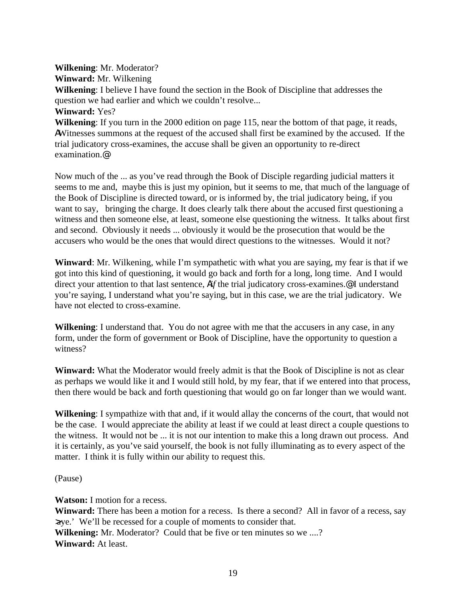**Wilkening**: Mr. Moderator? **Winward:** Mr. Wilkening **Wilkening**: I believe I have found the section in the Book of Discipline that addresses the question we had earlier and which we couldn't resolve... **Winward:** Yes? **Wilkening**: If you turn in the 2000 edition on page 115, near the bottom of that page, it reads, AWitnesses summons at the request of the accused shall first be examined by the accused. If the trial judicatory cross-examines, the accuse shall be given an opportunity to re-direct examination.@

Now much of the ... as you've read through the Book of Disciple regarding judicial matters it seems to me and, maybe this is just my opinion, but it seems to me, that much of the language of the Book of Discipline is directed toward, or is informed by, the trial judicatory being, if you want to say, bringing the charge. It does clearly talk there about the accused first questioning a witness and then someone else, at least, someone else questioning the witness. It talks about first and second. Obviously it needs ... obviously it would be the prosecution that would be the accusers who would be the ones that would direct questions to the witnesses. Would it not?

**Winward**: Mr. Wilkening, while I'm sympathetic with what you are saying, my fear is that if we got into this kind of questioning, it would go back and forth for a long, long time. And I would direct your attention to that last sentence, Aif the trial judicatory cross-examines.<sup>@</sup> I understand you're saying, I understand what you're saying, but in this case, we are the trial judicatory. We have not elected to cross-examine.

**Wilkening**: I understand that. You do not agree with me that the accusers in any case, in any form, under the form of government or Book of Discipline, have the opportunity to question a witness?

**Winward:** What the Moderator would freely admit is that the Book of Discipline is not as clear as perhaps we would like it and I would still hold, by my fear, that if we entered into that process, then there would be back and forth questioning that would go on far longer than we would want.

**Wilkening**: I sympathize with that and, if it would allay the concerns of the court, that would not be the case. I would appreciate the ability at least if we could at least direct a couple questions to the witness. It would not be ... it is not our intention to make this a long drawn out process. And it is certainly, as you've said yourself, the book is not fully illuminating as to every aspect of the matter. I think it is fully within our ability to request this.

(Pause)

**Watson:** I motion for a recess.

**Winward:** There has been a motion for a recess. Is there a second? All in favor of a recess, say >aye.' We'll be recessed for a couple of moments to consider that. **Wilkening:** Mr. Moderator? Could that be five or ten minutes so we ....? **Winward:** At least.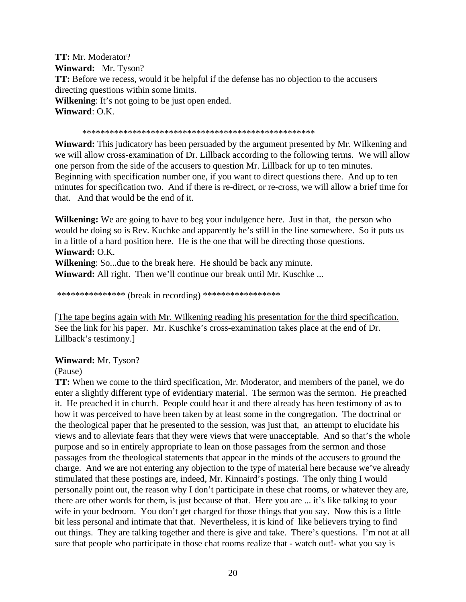**TT:** Mr. Moderator? **Winward:** Mr. Tyson? **TT:** Before we recess, would it be helpful if the defense has no objection to the accusers directing questions within some limits. **Wilkening**: It's not going to be just open ended. **Winward**: O.K.

\*\*\*\*\*\*\*\*\*\*\*\*\*\*\*\*\*\*\*\*\*\*\*\*\*\*\*\*\*\*\*\*\*\*\*\*\*\*\*\*\*\*\*\*\*\*\*\*\*\*\*

**Winward:** This judicatory has been persuaded by the argument presented by Mr. Wilkening and we will allow cross-examination of Dr. Lillback according to the following terms. We will allow one person from the side of the accusers to question Mr. Lillback for up to ten minutes. Beginning with specification number one, if you want to direct questions there. And up to ten minutes for specification two. And if there is re-direct, or re-cross, we will allow a brief time for that. And that would be the end of it.

**Wilkening:** We are going to have to beg your indulgence here. Just in that, the person who would be doing so is Rev. Kuchke and apparently he's still in the line somewhere. So it puts us in a little of a hard position here. He is the one that will be directing those questions. **Winward:** O.K.

**Wilkening**: So...due to the break here. He should be back any minute. **Winward:** All right. Then we'll continue our break until Mr. Kuschke ...

\*\*\*\*\*\*\*\*\*\*\*\*\*\*\*\* (break in recording) \*\*\*\*\*\*\*\*\*\*\*\*\*\*\*\*\*\*

[The tape begins again with Mr. Wilkening reading his presentation for the third specification. See the link for his paper. Mr. Kuschke's cross-examination takes place at the end of Dr. Lillback's testimony.]

## **Winward:** Mr. Tyson?

### (Pause)

**TT:** When we come to the third specification, Mr. Moderator, and members of the panel, we do enter a slightly different type of evidentiary material. The sermon was the sermon. He preached it. He preached it in church. People could hear it and there already has been testimony of as to how it was perceived to have been taken by at least some in the congregation. The doctrinal or the theological paper that he presented to the session, was just that, an attempt to elucidate his views and to alleviate fears that they were views that were unacceptable. And so that's the whole purpose and so in entirely appropriate to lean on those passages from the sermon and those passages from the theological statements that appear in the minds of the accusers to ground the charge. And we are not entering any objection to the type of material here because we've already stimulated that these postings are, indeed, Mr. Kinnaird's postings. The only thing I would personally point out, the reason why I don't participate in these chat rooms, or whatever they are, there are other words for them, is just because of that. Here you are ... it's like talking to your wife in your bedroom. You don't get charged for those things that you say. Now this is a little bit less personal and intimate that that. Nevertheless, it is kind of like believers trying to find out things. They are talking together and there is give and take. There's questions. I'm not at all sure that people who participate in those chat rooms realize that - watch out!- what you say is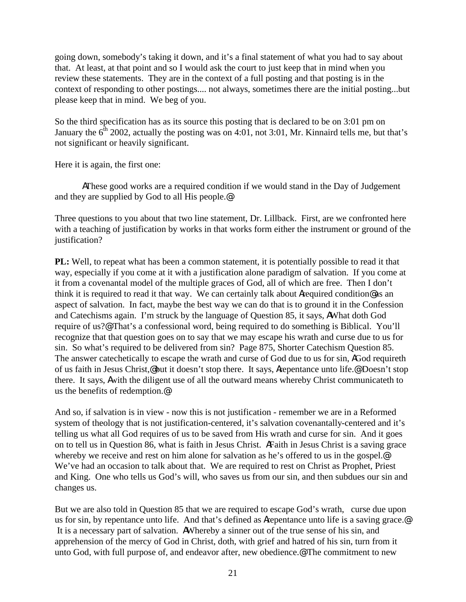going down, somebody's taking it down, and it's a final statement of what you had to say about that. At least, at that point and so I would ask the court to just keep that in mind when you review these statements. They are in the context of a full posting and that posting is in the context of responding to other postings.... not always, sometimes there are the initial posting...but please keep that in mind. We beg of you.

So the third specification has as its source this posting that is declared to be on 3:01 pm on January the  $6<sup>th</sup> 2002$ , actually the posting was on 4:01, not 3:01, Mr. Kinnaird tells me, but that's not significant or heavily significant.

Here it is again, the first one:

AThese good works are a required condition if we would stand in the Day of Judgement and they are supplied by God to all His people.@

Three questions to you about that two line statement, Dr. Lillback. First, are we confronted here with a teaching of justification by works in that works form either the instrument or ground of the justification?

**PL:** Well, to repeat what has been a common statement, it is potentially possible to read it that way, especially if you come at it with a justification alone paradigm of salvation. If you come at it from a covenantal model of the multiple graces of God, all of which are free. Then I don't think it is required to read it that way. We can certainly talk about Arequired condition@ as an aspect of salvation. In fact, maybe the best way we can do that is to ground it in the Confession and Catechisms again. I'm struck by the language of Question 85, it says, AWhat doth God require of us?@ That's a confessional word, being required to do something is Biblical. You'll recognize that that question goes on to say that we may escape his wrath and curse due to us for sin. So what's required to be delivered from sin? Page 875, Shorter Catechism Question 85. The answer catechetically to escape the wrath and curse of God due to us for sin, AGod requireth of us faith in Jesus Christ,@ but it doesn't stop there. It says, Arepentance unto life.@ Doesn't stop there. It says, Awith the diligent use of all the outward means whereby Christ communicateth to us the benefits of redemption.@

And so, if salvation is in view - now this is not justification - remember we are in a Reformed system of theology that is not justification-centered, it's salvation covenantally-centered and it's telling us what all God requires of us to be saved from His wrath and curse for sin. And it goes on to tell us in Question 86, what is faith in Jesus Christ. AFaith in Jesus Christ is a saving grace whereby we receive and rest on him alone for salvation as he's offered to us in the gospel.<sup>@</sup> We've had an occasion to talk about that. We are required to rest on Christ as Prophet, Priest and King. One who tells us God's will, who saves us from our sin, and then subdues our sin and changes us.

But we are also told in Question 85 that we are required to escape God's wrath, curse due upon us for sin, by repentance unto life. And that's defined as **Arepentance** unto life is a saving grace. It is a necessary part of salvation. AWhereby a sinner out of the true sense of his sin, and apprehension of the mercy of God in Christ, doth, with grief and hatred of his sin, turn from it unto God, with full purpose of, and endeavor after, new obedience.@ The commitment to new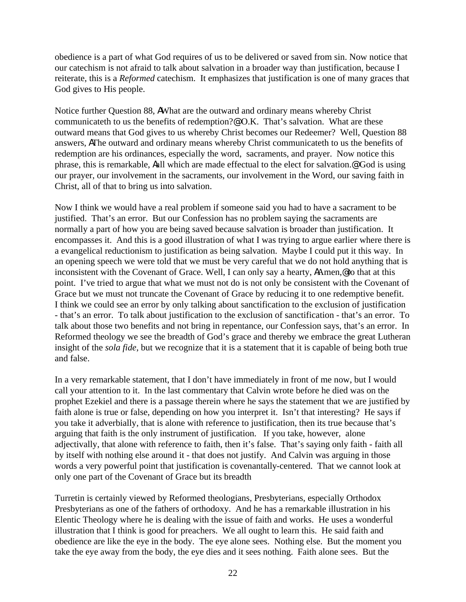obedience is a part of what God requires of us to be delivered or saved from sin. Now notice that our catechism is not afraid to talk about salvation in a broader way than justification, because I reiterate, this is a *Reformed* catechism. It emphasizes that justification is one of many graces that God gives to His people.

Notice further Question 88, AWhat are the outward and ordinary means whereby Christ communicateth to us the benefits of redemption?@ O.K. That's salvation. What are these outward means that God gives to us whereby Christ becomes our Redeemer? Well, Question 88 answers, AThe outward and ordinary means whereby Christ communicateth to us the benefits of redemption are his ordinances, especially the word, sacraments, and prayer. Now notice this phrase, this is remarkable, Aall which are made effectual to the elect for salvation.@ God is using our prayer, our involvement in the sacraments, our involvement in the Word, our saving faith in Christ, all of that to bring us into salvation.

Now I think we would have a real problem if someone said you had to have a sacrament to be justified. That's an error. But our Confession has no problem saying the sacraments are normally a part of how you are being saved because salvation is broader than justification. It encompasses it. And this is a good illustration of what I was trying to argue earlier where there is a evangelical reductionism to justification as being salvation. Maybe I could put it this way. In an opening speech we were told that we must be very careful that we do not hold anything that is inconsistent with the Covenant of Grace. Well, I can only say a hearty, AAmen,@ to that at this point. I've tried to argue that what we must not do is not only be consistent with the Covenant of Grace but we must not truncate the Covenant of Grace by reducing it to one redemptive benefit. I think we could see an error by only talking about sanctification to the exclusion of justification - that's an error. To talk about justification to the exclusion of sanctification - that's an error. To talk about those two benefits and not bring in repentance, our Confession says, that's an error. In Reformed theology we see the breadth of God's grace and thereby we embrace the great Lutheran insight of the *sola fide*, but we recognize that it is a statement that it is capable of being both true and false.

In a very remarkable statement, that I don't have immediately in front of me now, but I would call your attention to it. In the last commentary that Calvin wrote before he died was on the prophet Ezekiel and there is a passage therein where he says the statement that we are justified by faith alone is true or false, depending on how you interpret it. Isn't that interesting? He says if you take it adverbially, that is alone with reference to justification, then its true because that's arguing that faith is the only instrument of justification. If you take, however, alone adjectivally, that alone with reference to faith, then it's false. That's saying only faith - faith all by itself with nothing else around it - that does not justify. And Calvin was arguing in those words a very powerful point that justification is covenantally-centered. That we cannot look at only one part of the Covenant of Grace but its breadth

Turretin is certainly viewed by Reformed theologians, Presbyterians, especially Orthodox Presbyterians as one of the fathers of orthodoxy. And he has a remarkable illustration in his Elentic Theology where he is dealing with the issue of faith and works. He uses a wonderful illustration that I think is good for preachers. We all ought to learn this. He said faith and obedience are like the eye in the body. The eye alone sees. Nothing else. But the moment you take the eye away from the body, the eye dies and it sees nothing. Faith alone sees. But the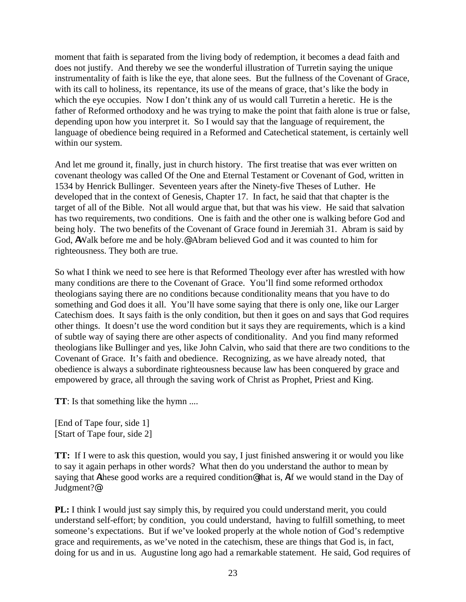moment that faith is separated from the living body of redemption, it becomes a dead faith and does not justify. And thereby we see the wonderful illustration of Turretin saying the unique instrumentality of faith is like the eye, that alone sees. But the fullness of the Covenant of Grace, with its call to holiness, its repentance, its use of the means of grace, that's like the body in which the eye occupies. Now I don't think any of us would call Turretin a heretic. He is the father of Reformed orthodoxy and he was trying to make the point that faith alone is true or false, depending upon how you interpret it. So I would say that the language of requirement, the language of obedience being required in a Reformed and Catechetical statement, is certainly well within our system.

And let me ground it, finally, just in church history. The first treatise that was ever written on covenant theology was called Of the One and Eternal Testament or Covenant of God, written in 1534 by Henrick Bullinger. Seventeen years after the Ninety-five Theses of Luther. He developed that in the context of Genesis, Chapter 17. In fact, he said that that chapter is the target of all of the Bible. Not all would argue that, but that was his view. He said that salvation has two requirements, two conditions. One is faith and the other one is walking before God and being holy. The two benefits of the Covenant of Grace found in Jeremiah 31. Abram is said by God, AWalk before me and be holy.@ Abram believed God and it was counted to him for righteousness. They both are true.

So what I think we need to see here is that Reformed Theology ever after has wrestled with how many conditions are there to the Covenant of Grace. You'll find some reformed orthodox theologians saying there are no conditions because conditionality means that you have to do something and God does it all. You'll have some saying that there is only one, like our Larger Catechism does. It says faith is the only condition, but then it goes on and says that God requires other things. It doesn't use the word condition but it says they are requirements, which is a kind of subtle way of saying there are other aspects of conditionality. And you find many reformed theologians like Bullinger and yes, like John Calvin, who said that there are two conditions to the Covenant of Grace. It's faith and obedience. Recognizing, as we have already noted, that obedience is always a subordinate righteousness because law has been conquered by grace and empowered by grace, all through the saving work of Christ as Prophet, Priest and King.

**TT**: Is that something like the hymn ....

[End of Tape four, side 1] [Start of Tape four, side 2]

**TT:** If I were to ask this question, would you say, I just finished answering it or would you like to say it again perhaps in other words? What then do you understand the author to mean by saying that Athese good works are a required condition@ that is, Aif we would stand in the Day of Judgment?@

**PL:** I think I would just say simply this, by required you could understand merit, you could understand self-effort; by condition, you could understand, having to fulfill something, to meet someone's expectations. But if we've looked properly at the whole notion of God's redemptive grace and requirements, as we've noted in the catechism, these are things that God is, in fact, doing for us and in us. Augustine long ago had a remarkable statement. He said, God requires of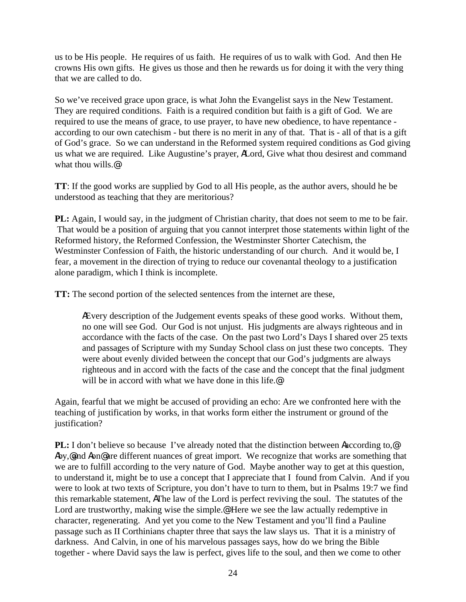us to be His people. He requires of us faith. He requires of us to walk with God. And then He crowns His own gifts. He gives us those and then he rewards us for doing it with the very thing that we are called to do.

So we've received grace upon grace, is what John the Evangelist says in the New Testament. They are required conditions. Faith is a required condition but faith is a gift of God. We are required to use the means of grace, to use prayer, to have new obedience, to have repentance according to our own catechism - but there is no merit in any of that. That is - all of that is a gift of God's grace. So we can understand in the Reformed system required conditions as God giving us what we are required. Like Augustine's prayer, ALord, Give what thou desirest and command what thou wills.@

**TT**: If the good works are supplied by God to all His people, as the author avers, should he be understood as teaching that they are meritorious?

**PL:** Again, I would say, in the judgment of Christian charity, that does not seem to me to be fair. That would be a position of arguing that you cannot interpret those statements within light of the Reformed history, the Reformed Confession, the Westminster Shorter Catechism, the Westminster Confession of Faith, the historic understanding of our church. And it would be, I fear, a movement in the direction of trying to reduce our covenantal theology to a justification alone paradigm, which I think is incomplete.

**TT:** The second portion of the selected sentences from the internet are these,

AEvery description of the Judgement events speaks of these good works. Without them, no one will see God. Our God is not unjust. His judgments are always righteous and in accordance with the facts of the case. On the past two Lord's Days I shared over 25 texts and passages of Scripture with my Sunday School class on just these two concepts. They were about evenly divided between the concept that our God's judgments are always righteous and in accord with the facts of the case and the concept that the final judgment will be in accord with what we have done in this life.<sup>@</sup>

Again, fearful that we might be accused of providing an echo: Are we confronted here with the teaching of justification by works, in that works form either the instrument or ground of the justification?

**PL:** I don't believe so because I've already noted that the distinction between Aaccording to,  $\Phi$ Aby,@and Aon@ are different nuances of great import. We recognize that works are something that we are to fulfill according to the very nature of God. Maybe another way to get at this question, to understand it, might be to use a concept that I appreciate that I found from Calvin. And if you were to look at two texts of Scripture, you don't have to turn to them, but in Psalms 19:7 we find this remarkable statement, AThe law of the Lord is perfect reviving the soul. The statutes of the Lord are trustworthy, making wise the simple.<sup>@</sup> Here we see the law actually redemptive in character, regenerating. And yet you come to the New Testament and you'll find a Pauline passage such as II Corthinians chapter three that says the law slays us. That it is a ministry of darkness. And Calvin, in one of his marvelous passages says, how do we bring the Bible together - where David says the law is perfect, gives life to the soul, and then we come to other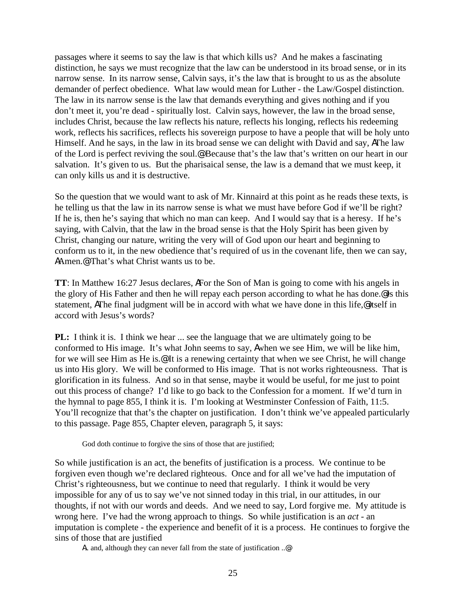passages where it seems to say the law is that which kills us? And he makes a fascinating distinction, he says we must recognize that the law can be understood in its broad sense, or in its narrow sense. In its narrow sense, Calvin says, it's the law that is brought to us as the absolute demander of perfect obedience. What law would mean for Luther - the Law/Gospel distinction. The law in its narrow sense is the law that demands everything and gives nothing and if you don't meet it, you're dead - spiritually lost. Calvin says, however, the law in the broad sense, includes Christ, because the law reflects his nature, reflects his longing, reflects his redeeming work, reflects his sacrifices, reflects his sovereign purpose to have a people that will be holy unto Himself. And he says, in the law in its broad sense we can delight with David and say, AThe law of the Lord is perfect reviving the soul.@ Because that's the law that's written on our heart in our salvation. It's given to us. But the pharisaical sense, the law is a demand that we must keep, it can only kills us and it is destructive.

So the question that we would want to ask of Mr. Kinnaird at this point as he reads these texts, is he telling us that the law in its narrow sense is what we must have before God if we'll be right? If he is, then he's saying that which no man can keep. And I would say that is a heresy. If he's saying, with Calvin, that the law in the broad sense is that the Holy Spirit has been given by Christ, changing our nature, writing the very will of God upon our heart and beginning to conform us to it, in the new obedience that's required of us in the covenant life, then we can say, AAmen.<sup>@</sup> That's what Christ wants us to be.

**TT**: In Matthew 16:27 Jesus declares, AFor the Son of Man is going to come with his angels in the glory of His Father and then he will repay each person according to what he has done.@ Is this statement, AThe final judgment will be in accord with what we have done in this life,@ itself in accord with Jesus's words?

**PL:** I think it is. I think we hear ... see the language that we are ultimately going to be conformed to His image. It's what John seems to say, Awhen we see Him, we will be like him, for we will see Him as He is.@ It is a renewing certainty that when we see Christ, he will change us into His glory. We will be conformed to His image. That is not works righteousness. That is glorification in its fulness. And so in that sense, maybe it would be useful, for me just to point out this process of change? I'd like to go back to the Confession for a moment. If we'd turn in the hymnal to page 855, I think it is. I'm looking at Westminster Confession of Faith, 11:5. You'll recognize that that's the chapter on justification. I don't think we've appealed particularly to this passage. Page 855, Chapter eleven, paragraph 5, it says:

God doth continue to forgive the sins of those that are justified;

So while justification is an act, the benefits of justification is a process. We continue to be forgiven even though we're declared righteous. Once and for all we've had the imputation of Christ's righteousness, but we continue to need that regularly. I think it would be very impossible for any of us to say we've not sinned today in this trial, in our attitudes, in our thoughts, if not with our words and deeds. And we need to say, Lord forgive me. My attitude is wrong here. I've had the wrong approach to things. So while justification is an *act* - an imputation is complete - the experience and benefit of it is a process. He continues to forgive the sins of those that are justified

A.. and, although they can never fall from the state of justification ..@.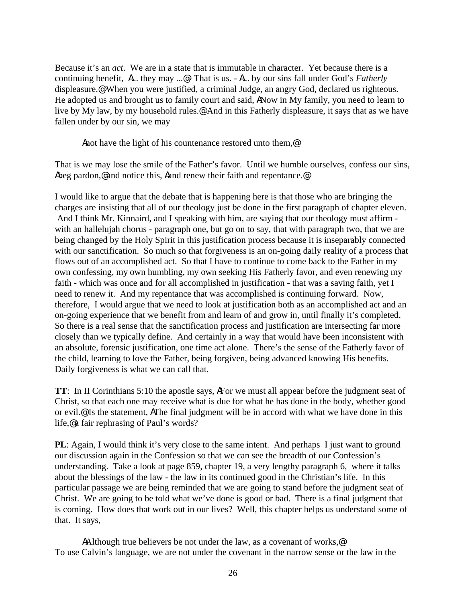Because it's an *act*. We are in a state that is immutable in character. Yet because there is a continuing benefit, A... they may ...@ - That is us. - A... by our sins fall under God's *Fatherly* displeasure.@ When you were justified, a criminal Judge, an angry God, declared us righteous. He adopted us and brought us to family court and said, ANow in My family, you need to learn to live by My law, by my household rules.@ And in this Fatherly displeasure, it says that as we have fallen under by our sin, we may

Anot have the light of his countenance restored unto them,<sup>@</sup>

That is we may lose the smile of the Father's favor. Until we humble ourselves, confess our sins, Abeg pardon,@ and notice this, Aand renew their faith and repentance.@

I would like to argue that the debate that is happening here is that those who are bringing the charges are insisting that all of our theology just be done in the first paragraph of chapter eleven. And I think Mr. Kinnaird, and I speaking with him, are saying that our theology must affirm with an hallelujah chorus - paragraph one, but go on to say, that with paragraph two, that we are being changed by the Holy Spirit in this justification process because it is inseparably connected with our sanctification. So much so that forgiveness is an on-going daily reality of a process that flows out of an accomplished act. So that I have to continue to come back to the Father in my own confessing, my own humbling, my own seeking His Fatherly favor, and even renewing my faith - which was once and for all accomplished in justification - that was a saving faith, yet I need to renew it. And my repentance that was accomplished is continuing forward. Now, therefore, I would argue that we need to look at justification both as an accomplished act and an on-going experience that we benefit from and learn of and grow in, until finally it's completed. So there is a real sense that the sanctification process and justification are intersecting far more closely than we typically define. And certainly in a way that would have been inconsistent with an absolute, forensic justification, one time act alone. There's the sense of the Fatherly favor of the child, learning to love the Father, being forgiven, being advanced knowing His benefits. Daily forgiveness is what we can call that.

**TT**: In II Corinthians 5:10 the apostle says, AFor we must all appear before the judgment seat of Christ, so that each one may receive what is due for what he has done in the body, whether good or evil.@ Is the statement, AThe final judgment will be in accord with what we have done in this life,@ a fair rephrasing of Paul's words?

**PL**: Again, I would think it's very close to the same intent. And perhaps I just want to ground our discussion again in the Confession so that we can see the breadth of our Confession's understanding. Take a look at page 859, chapter 19, a very lengthy paragraph 6, where it talks about the blessings of the law - the law in its continued good in the Christian's life. In this particular passage we are being reminded that we are going to stand before the judgment seat of Christ. We are going to be told what we've done is good or bad. There is a final judgment that is coming. How does that work out in our lives? Well, this chapter helps us understand some of that. It says,

AAlthough true believers be not under the law, as a covenant of works,<sup>@</sup> To use Calvin's language, we are not under the covenant in the narrow sense or the law in the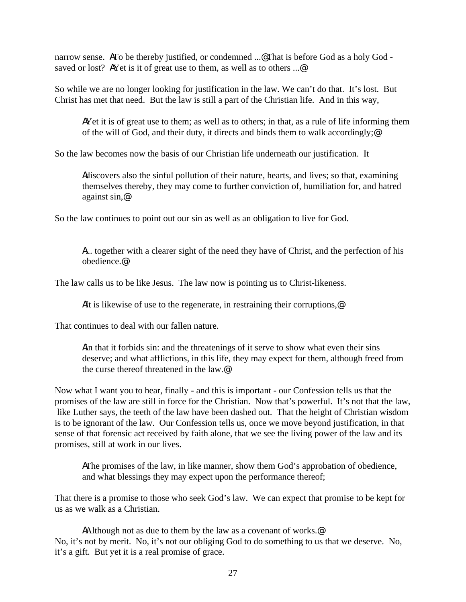narrow sense. ATo be thereby justified, or condemned ...@ That is before God as a holy God saved or lost? A Yet is it of great use to them, as well as to others ...@

So while we are no longer looking for justification in the law. We can't do that. It's lost. But Christ has met that need. But the law is still a part of the Christian life. And in this way,

AYet it is of great use to them; as well as to others; in that, as a rule of life informing them of the will of God, and their duty, it directs and binds them to walk accordingly;@

So the law becomes now the basis of our Christian life underneath our justification. It

Adiscovers also the sinful pollution of their nature, hearts, and lives; so that, examining themselves thereby, they may come to further conviction of, humiliation for, and hatred against sin,@

So the law continues to point out our sin as well as an obligation to live for God.

A... together with a clearer sight of the need they have of Christ, and the perfection of his obedience.@

The law calls us to be like Jesus. The law now is pointing us to Christ-likeness.

AIt is likewise of use to the regenerate, in restraining their corruptions,<sup>@</sup>

That continues to deal with our fallen nature.

Ain that it forbids sin: and the threatenings of it serve to show what even their sins deserve; and what afflictions, in this life, they may expect for them, although freed from the curse thereof threatened in the law.@

Now what I want you to hear, finally - and this is important - our Confession tells us that the promises of the law are still in force for the Christian. Now that's powerful. It's not that the law, like Luther says, the teeth of the law have been dashed out. That the height of Christian wisdom is to be ignorant of the law. Our Confession tells us, once we move beyond justification, in that sense of that forensic act received by faith alone, that we see the living power of the law and its promises, still at work in our lives.

AThe promises of the law, in like manner, show them God's approbation of obedience, and what blessings they may expect upon the performance thereof;

That there is a promise to those who seek God's law. We can expect that promise to be kept for us as we walk as a Christian.

AAlthough not as due to them by the law as a covenant of works.<sup>@</sup> No, it's not by merit. No, it's not our obliging God to do something to us that we deserve. No, it's a gift. But yet it is a real promise of grace.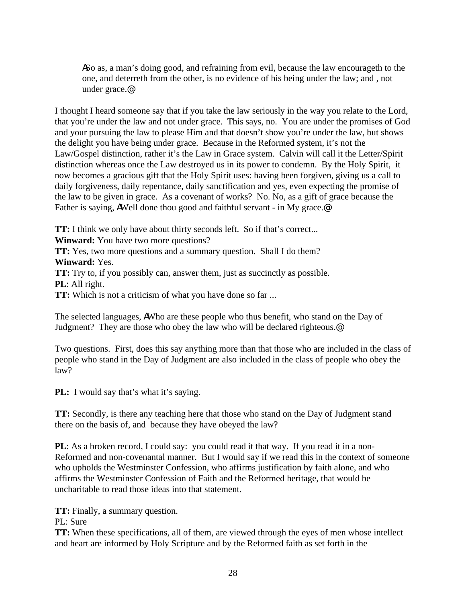ASo as, a man's doing good, and refraining from evil, because the law encourageth to the one, and deterreth from the other, is no evidence of his being under the law; and , not under grace.@

I thought I heard someone say that if you take the law seriously in the way you relate to the Lord, that you're under the law and not under grace. This says, no. You are under the promises of God and your pursuing the law to please Him and that doesn't show you're under the law, but shows the delight you have being under grace. Because in the Reformed system, it's not the Law/Gospel distinction, rather it's the Law in Grace system. Calvin will call it the Letter/Spirit distinction whereas once the Law destroyed us in its power to condemn. By the Holy Spirit, it now becomes a gracious gift that the Holy Spirit uses: having been forgiven, giving us a call to daily forgiveness, daily repentance, daily sanctification and yes, even expecting the promise of the law to be given in grace. As a covenant of works? No. No, as a gift of grace because the Father is saying, AWell done thou good and faithful servant - in My grace.<sup>@</sup>

**TT:** I think we only have about thirty seconds left. So if that's correct...

**Winward:** You have two more questions?

**TT:** Yes, two more questions and a summary question. Shall I do them? **Winward:** Yes.

**TT:** Try to, if you possibly can, answer them, just as succinctly as possible.

**PL**: All right.

**TT:** Which is not a criticism of what you have done so far ...

The selected languages, AWho are these people who thus benefit, who stand on the Day of Judgment? They are those who obey the law who will be declared righteous.@

Two questions. First, does this say anything more than that those who are included in the class of people who stand in the Day of Judgment are also included in the class of people who obey the law?

**PL:** I would say that's what it's saying.

**TT:** Secondly, is there any teaching here that those who stand on the Day of Judgment stand there on the basis of, and because they have obeyed the law?

**PL**: As a broken record, I could say: you could read it that way. If you read it in a non-Reformed and non-covenantal manner. But I would say if we read this in the context of someone who upholds the Westminster Confession, who affirms justification by faith alone, and who affirms the Westminster Confession of Faith and the Reformed heritage, that would be uncharitable to read those ideas into that statement.

**TT:** Finally, a summary question.

PL: Sure

**TT:** When these specifications, all of them, are viewed through the eyes of men whose intellect and heart are informed by Holy Scripture and by the Reformed faith as set forth in the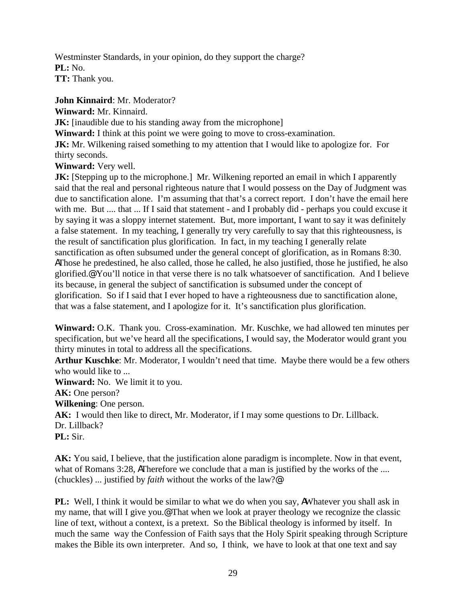Westminster Standards, in your opinion, do they support the charge? **PL:** No. **TT:** Thank you.

**John Kinnaird**: Mr. Moderator? **Winward:** Mr. Kinnaird. **JK:** [inaudible due to his standing away from the microphone] **Winward:** I think at this point we were going to move to cross-examination. **JK:** Mr. Wilkening raised something to my attention that I would like to apologize for. For thirty seconds. **Winward:** Very well.

**JK:** [Stepping up to the microphone.] Mr. Wilkening reported an email in which I apparently said that the real and personal righteous nature that I would possess on the Day of Judgment was due to sanctification alone. I'm assuming that that's a correct report. I don't have the email here with me. But .... that ... If I said that statement - and I probably did - perhaps you could excuse it by saying it was a sloppy internet statement. But, more important, I want to say it was definitely a false statement. In my teaching, I generally try very carefully to say that this righteousness, is the result of sanctification plus glorification. In fact, in my teaching I generally relate sanctification as often subsumed under the general concept of glorification, as in Romans 8:30. AThose he predestined, he also called, those he called, he also justified, those he justified, he also glorified.@ You'll notice in that verse there is no talk whatsoever of sanctification. And I believe its because, in general the subject of sanctification is subsumed under the concept of glorification. So if I said that I ever hoped to have a righteousness due to sanctification alone, that was a false statement, and I apologize for it. It's sanctification plus glorification.

**Winward:** O.K. Thank you. Cross-examination. Mr. Kuschke, we had allowed ten minutes per specification, but we've heard all the specifications, I would say, the Moderator would grant you thirty minutes in total to address all the specifications.

**Arthur Kuschke**: Mr. Moderator, I wouldn't need that time. Maybe there would be a few others who would like to ...

**Winward:** No. We limit it to you.

**AK:** One person?

**Wilkening**: One person.

**AK:** I would then like to direct, Mr. Moderator, if I may some questions to Dr. Lillback. Dr. Lillback?

**PL:** Sir.

**AK:** You said, I believe, that the justification alone paradigm is incomplete. Now in that event, what of Romans 3:28, ATherefore we conclude that a man is justified by the works of the .... (chuckles) ... justified by *faith* without the works of the law?@

**PL:** Well, I think it would be similar to what we do when you say, AWhatever you shall ask in my name, that will I give you.@ That when we look at prayer theology we recognize the classic line of text, without a context, is a pretext. So the Biblical theology is informed by itself. In much the same way the Confession of Faith says that the Holy Spirit speaking through Scripture makes the Bible its own interpreter. And so, I think, we have to look at that one text and say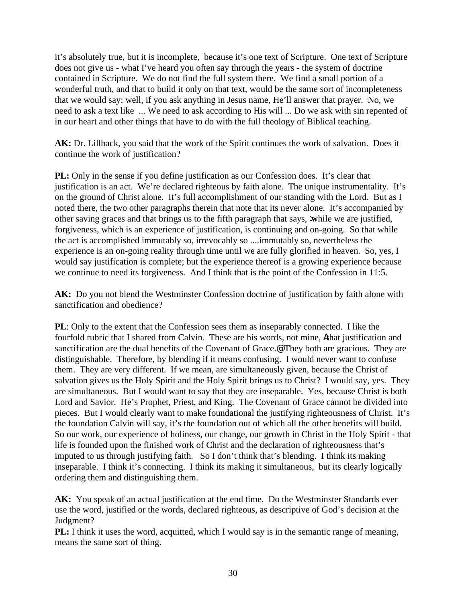it's absolutely true, but it is incomplete, because it's one text of Scripture. One text of Scripture does not give us - what I've heard you often say through the years - the system of doctrine contained in Scripture. We do not find the full system there. We find a small portion of a wonderful truth, and that to build it only on that text, would be the same sort of incompleteness that we would say: well, if you ask anything in Jesus name, He'll answer that prayer. No, we need to ask a text like ... We need to ask according to His will ... Do we ask with sin repented of in our heart and other things that have to do with the full theology of Biblical teaching.

**AK:** Dr. Lillback, you said that the work of the Spirit continues the work of salvation. Does it continue the work of justification?

**PL:** Only in the sense if you define justification as our Confession does. It's clear that justification is an act. We're declared righteous by faith alone. The unique instrumentality. It's on the ground of Christ alone. It's full accomplishment of our standing with the Lord. But as I noted there, the two other paragraphs therein that note that its never alone. It's accompanied by other saving graces and that brings us to the fifth paragraph that says, while we are justified, forgiveness, which is an experience of justification, is continuing and on-going. So that while the act is accomplished immutably so, irrevocably so ....immutably so, nevertheless the experience is an on-going reality through time until we are fully glorified in heaven. So, yes, I would say justification is complete; but the experience thereof is a growing experience because we continue to need its forgiveness. And I think that is the point of the Confession in 11:5.

**AK:** Do you not blend the Westminster Confession doctrine of justification by faith alone with sanctification and obedience?

**PL**: Only to the extent that the Confession sees them as inseparably connected. I like the fourfold rubric that I shared from Calvin. These are his words, not mine, Athat justification and sanctification are the dual benefits of the Covenant of Grace.<sup>@</sup> They both are gracious. They are distinguishable. Therefore, by blending if it means confusing. I would never want to confuse them. They are very different. If we mean, are simultaneously given, because the Christ of salvation gives us the Holy Spirit and the Holy Spirit brings us to Christ? I would say, yes. They are simultaneous. But I would want to say that they are inseparable. Yes, because Christ is both Lord and Savior. He's Prophet, Priest, and King. The Covenant of Grace cannot be divided into pieces. But I would clearly want to make foundational the justifying righteousness of Christ. It's the foundation Calvin will say, it's the foundation out of which all the other benefits will build. So our work, our experience of holiness, our change, our growth in Christ in the Holy Spirit - that life is founded upon the finished work of Christ and the declaration of righteousness that's imputed to us through justifying faith. So I don't think that's blending. I think its making inseparable. I think it's connecting. I think its making it simultaneous, but its clearly logically ordering them and distinguishing them.

**AK:** You speak of an actual justification at the end time. Do the Westminster Standards ever use the word, justified or the words, declared righteous, as descriptive of God's decision at the Judgment?

**PL:** I think it uses the word, acquitted, which I would say is in the semantic range of meaning, means the same sort of thing.